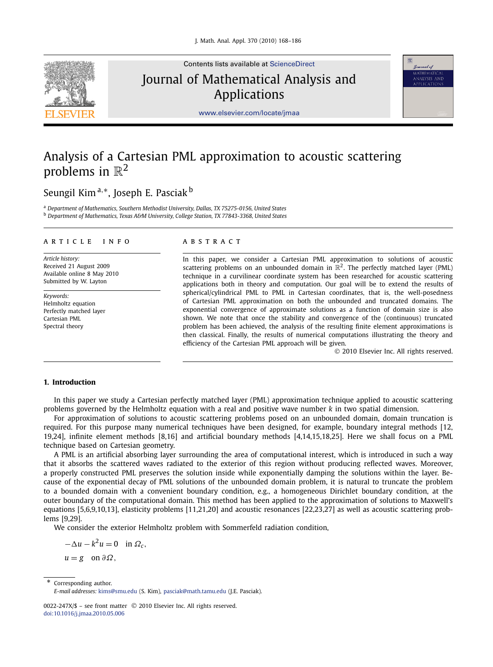

Contents lists available at [ScienceDirect](http://www.ScienceDirect.com/) Journal of Mathematical Analysis and Applications



[www.elsevier.com/locate/jmaa](http://www.elsevier.com/locate/jmaa)

# Analysis of a Cartesian PML approximation to acoustic scattering problems in  $\mathbb{R}^2$

## Seungil Kim <sup>a</sup>*,*∗, Joseph E. Pasciak <sup>b</sup>

<sup>a</sup> *Department of Mathematics, Southern Methodist University, Dallas, TX 75275-0156, United States* <sup>b</sup> *Department of Mathematics, Texas A&M University, College Station, TX 77843-3368, United States*

#### article info abstract

*Article history:* Received 21 August 2009 Available online 8 May 2010 Submitted by W. Layton

*Keywords:* Helmholtz equation Perfectly matched layer Cartesian PML Spectral theory

In this paper, we consider a Cartesian PML approximation to solutions of acoustic scattering problems on an unbounded domain in  $\mathbb{R}^2$ . The perfectly matched layer (PML) technique in a curvilinear coordinate system has been researched for acoustic scattering applications both in theory and computation. Our goal will be to extend the results of spherical/cylindrical PML to PML in Cartesian coordinates, that is, the well-posedness of Cartesian PML approximation on both the unbounded and truncated domains. The exponential convergence of approximate solutions as a function of domain size is also shown. We note that once the stability and convergence of the (continuous) truncated problem has been achieved, the analysis of the resulting finite element approximations is then classical. Finally, the results of numerical computations illustrating the theory and efficiency of the Cartesian PML approach will be given.

© 2010 Elsevier Inc. All rights reserved.

### **1. Introduction**

In this paper we study a Cartesian perfectly matched layer (PML) approximation technique applied to acoustic scattering problems governed by the Helmholtz equation with a real and positive wave number *k* in two spatial dimension.

For approximation of solutions to acoustic scattering problems posed on an unbounded domain, domain truncation is required. For this purpose many numerical techniques have been designed, for example, boundary integral methods [12, 19,24], infinite element methods [8,16] and artificial boundary methods [4,14,15,18,25]. Here we shall focus on a PML technique based on Cartesian geometry.

A PML is an artificial absorbing layer surrounding the area of computational interest, which is introduced in such a way that it absorbs the scattered waves radiated to the exterior of this region without producing reflected waves. Moreover, a properly constructed PML preserves the solution inside while exponentially damping the solutions within the layer. Because of the exponential decay of PML solutions of the unbounded domain problem, it is natural to truncate the problem to a bounded domain with a convenient boundary condition, e.g., a homogeneous Dirichlet boundary condition, at the outer boundary of the computational domain. This method has been applied to the approximation of solutions to Maxwell's equations [5,6,9,10,13], elasticity problems [11,21,20] and acoustic resonances [22,23,27] as well as acoustic scattering problems [9,29].

We consider the exterior Helmholtz problem with Sommerfeld radiation condition,

 $- \Delta u - k^2 u = 0$  in  $\Omega_c$ ,

 $u = g$  on  $\partial \Omega$ ,

Corresponding author.

*E-mail addresses:* [kims@smu.edu](mailto:kims@smu.edu) (S. Kim), [pasciak@math.tamu.edu](mailto:pasciak@math.tamu.edu) (J.E. Pasciak).

<sup>0022-247</sup>X/\$ – see front matter © 2010 Elsevier Inc. All rights reserved. [doi:10.1016/j.jmaa.2010.05.006](http://dx.doi.org/10.1016/j.jmaa.2010.05.006)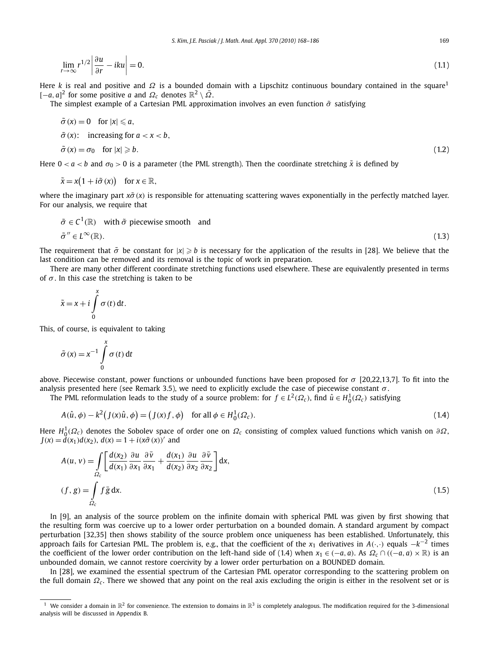$$
\lim_{r \to \infty} r^{1/2} \left| \frac{\partial u}{\partial r} - iku \right| = 0. \tag{1.1}
$$

Here *k* is real and positive and Ω is a bounded domain with a Lipschitz continuous boundary contained in the square<sup>1</sup>  $[-a, a]^2$  for some positive *a* and  $\Omega_c$  denotes  $\mathbb{R}^2 \setminus \overline{\Omega}$ .

The simplest example of a Cartesian PML approximation involves an even function  $\tilde{\sigma}$  satisfying

$$
\tilde{\sigma}(x) = 0 \quad \text{for } |x| \le a,
$$
  
\n
$$
\tilde{\sigma}(x): \quad \text{increasing for } a < x < b,
$$
  
\n
$$
\tilde{\sigma}(x) = \sigma_0 \quad \text{for } |x| \ge b.
$$
\n
$$
(1.2)
$$

Here  $0 < a < b$  and  $\sigma_0 > 0$  is a parameter (the PML strength). Then the coordinate stretching  $\tilde{x}$  is defined by

$$
\tilde{x} = x(1 + i\tilde{\sigma}(x)) \quad \text{for } x \in \mathbb{R},
$$

where the imaginary part *xσ*˜ *(x)* is responsible for attenuating scattering waves exponentially in the perfectly matched layer. For our analysis, we require that

$$
\tilde{\sigma} \in C^1(\mathbb{R}) \quad \text{with } \tilde{\sigma} \text{ piecewise smooth} \quad \text{and}
$$

$$
\tilde{\sigma}'' \in L^{\infty}(\mathbb{R}).\tag{1.3}
$$

The requirement that  $\tilde{\sigma}$  be constant for  $|x| \ge b$  is necessary for the application of the results in [28]. We believe that the last condition can be removed and its removal is the topic of work in preparation.

There are many other different coordinate stretching functions used elsewhere. These are equivalently presented in terms of  $\sigma$ . In this case the stretching is taken to be

$$
\tilde{x} = x + i \int_{0}^{x} \sigma(t) dt.
$$

This, of course, is equivalent to taking

$$
\tilde{\sigma}(x) = x^{-1} \int_{0}^{x} \sigma(t) dt
$$

above. Piecewise constant, power functions or unbounded functions have been proposed for *σ* [20,22,13,7]. To fit into the analysis presented here (see Remark 3.5), we need to explicitly exclude the case of piecewise constant  $\sigma$ .

The PML reformulation leads to the study of a source problem: for  $f \in L^2(\Omega_c)$ , find  $\hat{u} \in H_0^1(\Omega_c)$  satisfying

$$
A(\hat{u}, \phi) - k^2 (J(x)\hat{u}, \phi) = (J(x)f, \phi) \quad \text{for all } \phi \in H_0^1(\Omega_c). \tag{1.4}
$$

Here *H*<sup>1</sup> <sup>0</sup>*(Ω<sup>c</sup> )* denotes the Sobolev space of order one on *Ω<sup>c</sup>* consisting of complex valued functions which vanish on *∂Ω*,  $J(x) = d(x_1)d(x_2), d(x) = 1 + i(x\tilde{\sigma}(x))'$  and

$$
A(u, v) = \int_{\Omega_c} \left[ \frac{d(x_2)}{d(x_1)} \frac{\partial u}{\partial x_1} \frac{\partial \bar{v}}{\partial x_1} + \frac{d(x_1)}{d(x_2)} \frac{\partial u}{\partial x_2} \frac{\partial \bar{v}}{\partial x_2} \right] dx,
$$
  
(f, g) =  $\int_{\Omega_c} f \bar{g} dx.$  (1.5)

In [9], an analysis of the source problem on the infinite domain with spherical PML was given by first showing that the resulting form was coercive up to a lower order perturbation on a bounded domain. A standard argument by compact perturbation [32,35] then shows stability of the source problem once uniqueness has been established. Unfortunately, this approach fails for Cartesian PML. The problem is, e.g., that the coefficient of the *<sup>x</sup>*<sup>1</sup> derivatives in *<sup>A</sup>(*·*,*·*)* equals −*k*−<sup>2</sup> times the coefficient of the lower order contribution on the left-hand side of (1.4) when  $x_1 \in (-a, a)$ . As  $\Omega_c \cap ((-a, a) \times \mathbb{R})$  is an unbounded domain, we cannot restore coercivity by a lower order perturbation on a BOUNDED domain.

In [28], we examined the essential spectrum of the Cartesian PML operator corresponding to the scattering problem on the full domain *Ω<sup>c</sup>* . There we showed that any point on the real axis excluding the origin is either in the resolvent set or is

<sup>&</sup>lt;sup>1</sup> We consider a domain in  $\mathbb{R}^2$  for convenience. The extension to domains in  $\mathbb{R}^3$  is completely analogous. The modification required for the 3-dimensional analysis will be discussed in Appendix B.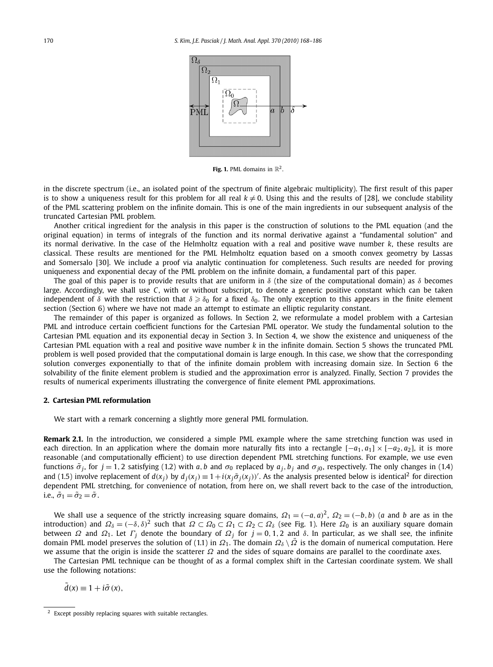

**Fig. 1.** PML domains in  $\mathbb{R}^2$ .

in the discrete spectrum (i.e., an isolated point of the spectrum of finite algebraic multiplicity). The first result of this paper is to show a uniqueness result for this problem for all real  $k \neq 0$ . Using this and the results of [28], we conclude stability of the PML scattering problem on the infinite domain. This is one of the main ingredients in our subsequent analysis of the truncated Cartesian PML problem.

Another critical ingredient for the analysis in this paper is the construction of solutions to the PML equation (and the original equation) in terms of integrals of the function and its normal derivative against a "fundamental solution" and its normal derivative. In the case of the Helmholtz equation with a real and positive wave number *k*, these results are classical. These results are mentioned for the PML Helmholtz equation based on a smooth convex geometry by Lassas and Somersalo [30]. We include a proof via analytic continuation for completeness. Such results are needed for proving uniqueness and exponential decay of the PML problem on the infinite domain, a fundamental part of this paper.

The goal of this paper is to provide results that are uniform in *δ* (the size of the computational domain) as *δ* becomes large. Accordingly, we shall use *C*, with or without subscript, to denote a generic positive constant which can be taken independent of  $\delta$  with the restriction that  $\delta \geq \delta_0$  for a fixed  $\delta_0$ . The only exception to this appears in the finite element section (Section 6) where we have not made an attempt to estimate an elliptic regularity constant.

The remainder of this paper is organized as follows. In Section 2, we reformulate a model problem with a Cartesian PML and introduce certain coefficient functions for the Cartesian PML operator. We study the fundamental solution to the Cartesian PML equation and its exponential decay in Section 3. In Section 4, we show the existence and uniqueness of the Cartesian PML equation with a real and positive wave number *k* in the infinite domain. Section 5 shows the truncated PML problem is well posed provided that the computational domain is large enough. In this case, we show that the corresponding solution converges exponentially to that of the infinite domain problem with increasing domain size. In Section 6 the solvability of the finite element problem is studied and the approximation error is analyzed. Finally, Section 7 provides the results of numerical experiments illustrating the convergence of finite element PML approximations.

#### **2. Cartesian PML reformulation**

We start with a remark concerning a slightly more general PML formulation.

**Remark 2.1.** In the introduction, we considered a simple PML example where the same stretching function was used in each direction. In an application where the domain more naturally fits into a rectangle  $[-a_1, a_1] \times [-a_2, a_2]$ , it is more reasonable (and computationally efficient) to use direction dependent PML stretching functions. For example, we use even functions  $\tilde{\sigma}_i$ , for  $j = 1, 2$  satisfying (1.2) with a, b and  $\sigma_0$  replaced by  $a_i, b_j$  and  $\sigma_{i0}$ , respectively. The only changes in (1.4) and (1.5) involve replacement of  $d(x_j)$  by  $d_j(x_j) \equiv 1 + i(x_j \tilde{\sigma}_j(x_j))'$ . As the analysis presented below is identical<sup>2</sup> for direction dependent PML stretching, for convenience of notation, from here on, we shall revert back to the case of the introduction, i.e.,  $\tilde{\sigma}_1 = \tilde{\sigma}_2 = \tilde{\sigma}$ .

We shall use a sequence of the strictly increasing square domains,  $\Omega_1 = (-a, a)^2$ ,  $\Omega_2 = (-b, b)$  (*a* and *b* are as in the introduction) and *Ωδ* = *(*−*δ,δ)*<sup>2</sup> such that *Ω* ⊂ *Ω*<sup>0</sup> ⊂ *Ω*<sup>1</sup> ⊂ *Ω*<sup>2</sup> ⊂ *Ωδ* (see Fig. 1). Here *Ω*<sup>0</sup> is an auxiliary square domain between *Ω* and *Ω*<sub>1</sub>. Let *Γ*<sub>*j*</sub> denote the boundary of *Ω<sub>j</sub>* for  $j = 0, 1, 2$  and *δ*. In particular, as we shall see, the infinite domain PML model preserves the solution of (1.1) in *Ω*1. The domain *Ωδ* \ *Ω*¯ is the domain of numerical computation. Here we assume that the origin is inside the scatterer *Ω* and the sides of square domains are parallel to the coordinate axes.

The Cartesian PML technique can be thought of as a formal complex shift in the Cartesian coordinate system. We shall use the following notations:

 $\tilde{d}(x) \equiv 1 + i\tilde{\sigma}(x),$ 

<sup>2</sup> Except possibly replacing squares with suitable rectangles.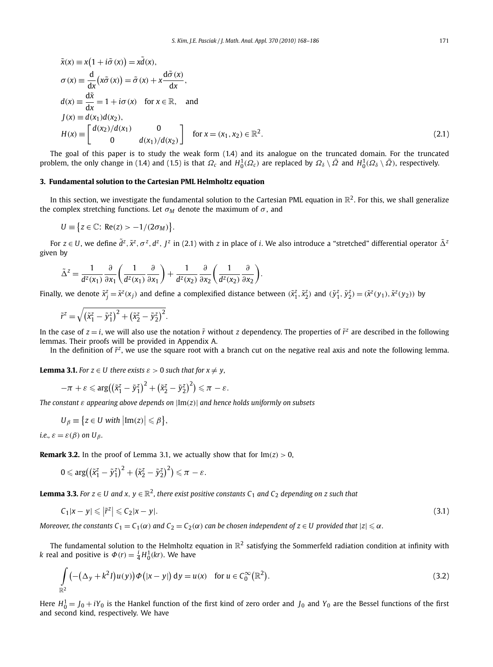$$
\tilde{x}(x) \equiv x(1 + i\tilde{\sigma}(x)) = x\tilde{d}(x),
$$
\n
$$
\sigma(x) \equiv \frac{d}{dx}(x\tilde{\sigma}(x)) = \tilde{\sigma}(x) + x\frac{d\tilde{\sigma}(x)}{dx},
$$
\n
$$
d(x) \equiv \frac{d\tilde{x}}{dx} = 1 + i\sigma(x) \quad \text{for } x \in \mathbb{R}, \quad \text{and}
$$
\n
$$
J(x) \equiv d(x_1)d(x_2),
$$
\n
$$
H(x) \equiv \begin{bmatrix} d(x_2)/d(x_1) & 0 \\ 0 & d(x_1)/d(x_2) \end{bmatrix} \quad \text{for } x = (x_1, x_2) \in \mathbb{R}^2.
$$
\n(2.1)

The goal of this paper is to study the weak form (1.4) and its analogue on the truncated domain. For the truncated problem, the only change in (1.4) and (1.5) is that  $\Omega_c$  and  $H_0^1(\Omega_c)$  are replaced by  $\Omega_\delta\setminus\bar{\Omega}$  and  $H_0^1(\Omega_\delta\setminus\bar{\Omega})$ , respectively.

#### **3. Fundamental solution to the Cartesian PML Helmholtz equation**

In this section, we investigate the fundamental solution to the Cartesian PML equation in  $\mathbb{R}^2$ . For this, we shall generalize the complex stretching functions. Let  $\sigma_M$  denote the maximum of  $\sigma$ , and

$$
U \equiv \{ z \in \mathbb{C} : \text{Re}(z) > -1/(2\sigma_M) \}.
$$

For  $z\in U$ , we define  $\tilde{d}^z, \tilde{x}^z, \sigma^z, d^z, J^z$  in (2.1) with  $z$  in place of  $i.$  We also introduce a "stretched" differential operator  $\tilde{\Delta}^z$ given by

$$
\tilde{\Delta}^z = \frac{1}{d^z(x_1)} \frac{\partial}{\partial x_1} \left( \frac{1}{d^z(x_1)} \frac{\partial}{\partial x_1} \right) + \frac{1}{d^z(x_2)} \frac{\partial}{\partial x_2} \left( \frac{1}{d^z(x_2)} \frac{\partial}{\partial x_2} \right).
$$

Finally, we denote  $\tilde{x}_j^z = \tilde{x}^z(x_j)$  and define a complexified distance between  $(\tilde{x}_1^z, \tilde{x}_2^z)$  and  $(\tilde{y}_1^z, \tilde{y}_2^z) = (\tilde{x}^z(y_1), \tilde{x}^z(y_2))$  by

$$
\tilde{r}^z = \sqrt{(\tilde{x}_1^z - \tilde{y}_1^z)^2 + (\tilde{x}_2^z - \tilde{y}_2^z)^2}.
$$

In the case of  $z = i$ , we will also use the notation  $\tilde{r}$  without *z* dependency. The properties of  $\tilde{r}^z$  are described in the following lemmas. Their proofs will be provided in Appendix A.

In the definition of  $\tilde{r}^z$ , we use the square root with a branch cut on the negative real axis and note the following lemma.

**Lemma 3.1.** *For*  $z \in U$  *there exists*  $\varepsilon > 0$  *such that for*  $x \neq y$ ,

$$
-\pi + \varepsilon \leqslant \arg((\tilde{x}_1^z - \tilde{y}_1^z)^2 + (\tilde{x}_2^z - \tilde{y}_2^z)^2) \leqslant \pi - \varepsilon.
$$

*The constant ε appearing above depends on* |Im*(z)*| *and hence holds uniformly on subsets*

$$
U_{\beta} \equiv \{ z \in U \text{ with } |\text{Im}(z)| \leq \beta \},
$$

*i.e.,*  $\varepsilon = \varepsilon(\beta)$  on  $U_\beta$ .

**Remark 3.2.** In the proof of Lemma 3.1, we actually show that for  $Im(z) > 0$ ,

$$
0 \leqslant \arg\bigl(\bigl(\tilde{x}_1^z - \tilde{y}_1^z\bigr)^2 + \bigl(\tilde{x}_2^z - \tilde{y}_2^z\bigr)^2\bigr) \leqslant \pi - \varepsilon.
$$

**Lemma 3.3.** *For z* ∈ *U* and *x*, *y* ∈  $\mathbb{R}^2$ , *there exist positive constants*  $C_1$  *and*  $C_2$  *depending on z such that* 

$$
C_1|x-y| \leqslant |\tilde{r}^z| \leqslant C_2|x-y|.
$$
\n
$$
(3.1)
$$

*Moreover, the constants C*<sub>1</sub>  $=$  C<sub>1</sub>( $\alpha$ ) and C<sub>2</sub>  $=$  C<sub>2</sub>( $\alpha$ ) can be chosen independent of z  $\in$  U provided that  $|z|$   $\leqslant$   $\alpha$ .

The fundamental solution to the Helmholtz equation in  $\mathbb{R}^2$  satisfying the Sommerfeld radiation condition at infinity with *k* real and positive is  $\Phi(r) = \frac{i}{4} H_0^1(kr)$ . We have

$$
\int_{\mathbb{R}^2} \left( -(\Delta_y + k^2 I) u(y) \right) \Phi\left(|x - y|\right) dy = u(x) \quad \text{for } u \in C_0^{\infty}(\mathbb{R}^2). \tag{3.2}
$$

Here  $H_0^1 = J_0 + iY_0$  is the Hankel function of the first kind of zero order and  $J_0$  and  $Y_0$  are the Bessel functions of the first and second kind, respectively. We have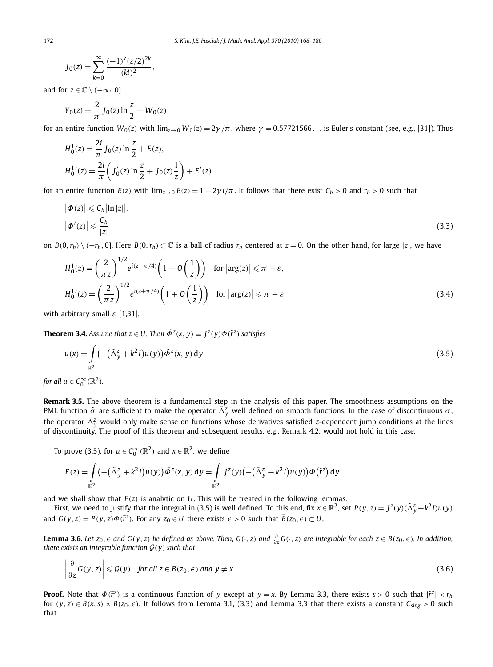$$
J_0(z) = \sum_{k=0}^{\infty} \frac{(-1)^k (z/2)^{2k}}{(k!)^2},
$$

and for  $z \in \mathbb{C} \setminus (-\infty, 0]$ 

$$
Y_0(z) = \frac{2}{\pi} J_0(z) \ln \frac{z}{2} + W_0(z)
$$

for an entire function  $W_0(z)$  with  $\lim_{z\to 0} W_0(z) = 2\gamma/\pi$ , where  $\gamma = 0.57721566...$  is Euler's constant (see, e.g., [31]). Thus

$$
H_0^1(z) = \frac{2i}{\pi} J_0(z) \ln \frac{z}{2} + E(z),
$$
  
\n
$$
H_0^{1'}(z) = \frac{2i}{\pi} \left( J_0'(z) \ln \frac{z}{2} + J_0(z) \frac{1}{z} \right) + E'(z)
$$

for an entire function  $E(z)$  with  $\lim_{z\to 0} E(z) = 1 + 2\gamma i/\pi$ . It follows that there exist  $C_b > 0$  and  $r_b > 0$  such that

$$
\left|\Phi(z)\right| \leqslant C_b \left|\ln|z|\right|,
$$
\n
$$
\left|\Phi'(z)\right| \leqslant \frac{C_b}{|z|} \tag{3.3}
$$

on  $B(0, r_b) \setminus (-r_b, 0]$ . Here  $B(0, r_b) \subset \mathbb{C}$  is a ball of radius  $r_b$  centered at  $z = 0$ . On the other hand, for large |z|, we have

$$
H_0^1(z) = \left(\frac{2}{\pi z}\right)^{1/2} e^{i(z-\pi/4)} \left(1 + O\left(\frac{1}{z}\right)\right) \quad \text{for } |\arg(z)| \le \pi - \varepsilon,
$$
  

$$
H_0^1'(z) = \left(\frac{2}{\pi z}\right)^{1/2} e^{i(z+\pi/4)} \left(1 + O\left(\frac{1}{z}\right)\right) \quad \text{for } |\arg(z)| \le \pi - \varepsilon
$$
 (3.4)

with arbitrary small *ε* [1,31].

**Theorem 3.4.** *Assume that*  $z \in U$ *. Then*  $\tilde{\Phi}^{z}(x, y) \equiv \int^{z}(y)\Phi(\tilde{r}^{z})$  *satisfies* 

$$
u(x) = \int_{\mathbb{R}^2} \left( -(\tilde{\Delta}_y^z + k^2 I) u(y) \right) \tilde{\Phi}^z(x, y) \, \mathrm{d}y \tag{3.5}
$$

for all  $u \in C_0^{\infty}(\mathbb{R}^2)$ *.* 

**Remark 3.5.** The above theorem is a fundamental step in the analysis of this paper. The smoothness assumptions on the PML function  $\tilde{\sigma}$  are sufficient to make the operator  $\tilde{\Delta}_y^z$  well defined on smooth functions. In the case of discontinuous  $\sigma$ , the operator  $\tilde{\Delta}_y^z$  would only make sense on functions whose derivatives satisfied *z*-dependent jump conditions at the lines of discontinuity. The proof of this theorem and subsequent results, e.g., Remark 4.2, would not hold in this case.

To prove (3.5), for  $u \in C_0^\infty(\mathbb{R}^2)$  and  $x \in \mathbb{R}^2$ , we define

$$
F(z) = \int\limits_{\mathbb{R}^2} \left( -(\tilde{\Delta}_y^z + k^2 I) u(y) \right) \tilde{\Phi}^z(x, y) dy = \int\limits_{\mathbb{R}^2} J^z(y) \left( -(\tilde{\Delta}_y^z + k^2 I) u(y) \right) \Phi(\tilde{r}^z) dy
$$

and we shall show that  $F(z)$  is analytic on U. This will be treated in the following lemmas.

First, we need to justify that the integral in (3.5) is well defined. To this end, fix  $x \in \mathbb{R}^2$ , set  $P(y, z) = J^z(y)(\tilde{\Delta}_y^z + k^2 I)u(y)$ and  $G(y, z) = P(y, z) \Phi(\tilde{r}^z)$ . For any  $z_0 \in U$  there exists  $\epsilon > 0$  such that  $\bar{B}(z_0, \epsilon) \subset U$ .

**Lemma 3.6.** Let  $z_0$ ,  $\epsilon$  and  $G(y, z)$  be defined as above. Then,  $G(\cdot, z)$  and  $\frac{\partial}{\partial z}G(\cdot, z)$  are integrable for each  $z \in B(z_0, \epsilon)$ . In addition, *there exists an integrable function*  $G(y)$  *such that* 

$$
\left|\frac{\partial}{\partial z}G(y,z)\right| \leqslant \mathcal{G}(y) \quad \text{for all } z \in B(z_0, \epsilon) \text{ and } y \neq x. \tag{3.6}
$$

**Proof.** Note that  $\Phi(\tilde{r}^z)$  is a continuous function of *y* except at  $y = x$ . By Lemma 3.3, there exists  $s > 0$  such that  $|\tilde{r}^z| < r_b$ for  $(y, z) \in B(x, s) \times B(z_0, \epsilon)$ . It follows from Lemma 3.1, (3.3) and Lemma 3.3 that there exists a constant  $C_{sing} > 0$  such that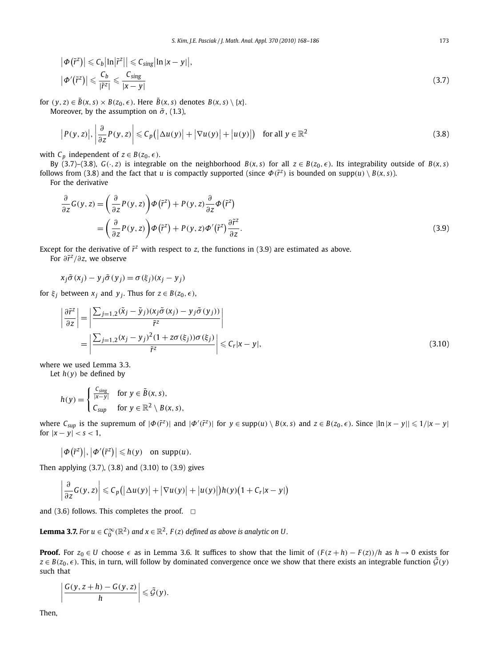$$
\left| \Phi\left(\tilde{r}^z\right) \right| \leqslant C_b \left| \ln \left| \tilde{r}^z \right| \right| \leqslant C_{sing} \left| \ln \left| x - y \right| \right|,
$$
\n
$$
\left| \Phi'\left(\tilde{r}^z\right) \right| \leqslant \frac{C_b}{\left| \tilde{r}^z \right|} \leqslant \frac{C_{sing}}{\left| x - y \right|} \tag{3.7}
$$

for  $(y, z) \in \tilde{B}(x, s) \times B(z_0, \epsilon)$ . Here  $\tilde{B}(x, s)$  denotes  $B(x, s) \setminus \{x\}$ . Moreover, by the assumption on  $\tilde{\sigma}$ , (1.3),

$$
\left| P(y,z) \right|, \left| \frac{\partial}{\partial z} P(y,z) \right| \leqslant C_p \left( \left| \Delta u(y) \right| + \left| \nabla u(y) \right| + \left| u(y) \right| \right) \quad \text{for all } y \in \mathbb{R}^2 \tag{3.8}
$$

with  $C_p$  independent of  $z \in B(z_0, \epsilon)$ .

By (3.7)–(3.8),  $G(\cdot, z)$  is integrable on the neighborhood  $B(x, s)$  for all  $z \in B(z_0, \epsilon)$ . Its integrability outside of  $B(x, s)$ follows from (3.8) and the fact that *u* is compactly supported (since  $\Phi(\tilde{r}^z)$  is bounded on supp $(u) \setminus B(x, s)$ ).

For the derivative

$$
\frac{\partial}{\partial z}G(y, z) = \left(\frac{\partial}{\partial z}P(y, z)\right)\Phi(\tilde{r}^z) + P(y, z)\frac{\partial}{\partial z}\Phi(\tilde{r}^z)
$$
\n
$$
= \left(\frac{\partial}{\partial z}P(y, z)\right)\Phi(\tilde{r}^z) + P(y, z)\Phi'(\tilde{r}^z)\frac{\partial \tilde{r}^z}{\partial z}.
$$
\n(3.9)

Except for the derivative of  $\tilde{r}^z$  with respect to *z*, the functions in (3.9) are estimated as above.

For *∂r*˜*<sup>z</sup>/∂z*, we observe

$$
x_j \tilde{\sigma}(x_j) - y_j \tilde{\sigma}(y_j) = \sigma(\xi_j)(x_j - y_j)
$$

for  $\xi$ <sup>*j*</sup> between  $x$ <sup>*j*</sup> and  $y$ <sup>*j*</sup>. Thus for  $z \in B(z_0, \epsilon)$ ,

$$
\left| \frac{\partial \tilde{r}^z}{\partial z} \right| = \left| \frac{\sum_{j=1,2} (\tilde{x}_j - \tilde{y}_j)(x_j \tilde{\sigma}(x_j) - y_j \tilde{\sigma}(y_j))}{\tilde{r}^z} \right|
$$
\n
$$
= \left| \frac{\sum_{j=1,2} (x_j - y_j)^2 (1 + z \sigma(\xi_j)) \sigma(\xi_j)}{\tilde{r}^z} \right| \leq C_r |x - y|,
$$
\n(3.10)

where we used Lemma 3.3.

Let  $h(y)$  be defined by

$$
h(y) = \begin{cases} \frac{C_{sing}}{|x-y|} & \text{for } y \in \tilde{B}(x, s), \\ C_{sup} & \text{for } y \in \mathbb{R}^2 \setminus B(x, s), \end{cases}
$$

where  $C_{sup}$  is the supremum of  $|\Phi(\tilde{r}^z)|$  and  $|\Phi'(\tilde{r}^z)|$  for  $y \in supp(u) \setminus B(x, s)$  and  $z \in B(z_0, \epsilon)$ . Since  $||n|x - y|| \leq 1/|x - y|$ for  $|x - y| < s < 1$ ,

 $|\Phi(\tilde{r}^z)|, |\Phi'(\tilde{r}^z)| \leq h(y)$  on supp $(u)$ .

Then applying (3.7), (3.8) and (3.10) to (3.9) gives

$$
\left|\frac{\partial}{\partial z}G(y,z)\right|\leqslant C_p\big(\left|\Delta u(y)\right|+\left|\nabla u(y)\right|+\left|u(y)\right|\big)h(y)\big(1+C_r|x-y|\big)
$$

and (3.6) follows. This completes the proof.  $\Box$ 

**Lemma 3.7.** For  $u \in C_0^\infty(\mathbb{R}^2)$  and  $x \in \mathbb{R}^2$ ,  $F(z)$  defined as above is analytic on U.

**Proof.** For  $z_0 \in U$  choose  $\epsilon$  as in Lemma 3.6. It suffices to show that the limit of  $(F(z+h) - F(z))/h$  as  $h \to 0$  exists for  $z \in B(z_0, \epsilon)$ . This, in turn, will follow by dominated convergence once we show that there exists an integrable function  $\tilde{\mathcal{G}}(y)$ such that

$$
\left|\frac{G(y,z+h)-G(y,z)}{h}\right|\leqslant \tilde{\mathcal{G}}(y).
$$

Then,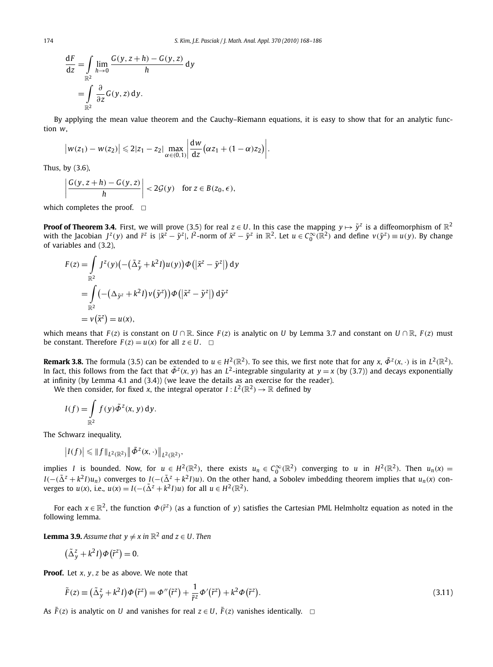$$
\frac{dF}{dz} = \int_{\mathbb{R}^2} \lim_{h \to 0} \frac{G(y, z + h) - G(y, z)}{h} dy
$$

$$
= \int_{\mathbb{R}^2} \frac{\partial}{\partial z} G(y, z) dy.
$$

By applying the mean value theorem and the Cauchy–Riemann equations, it is easy to show that for an analytic function *w*,

$$
|w(z_1) - w(z_2)| \leq 2|z_1 - z_2| \max_{\alpha \in (0,1)} \left| \frac{dw}{dz} (\alpha z_1 + (1 - \alpha) z_2) \right|.
$$

Thus, by (3.6),  $\overline{\phantom{a}}$ 

 $\overline{\phantom{a}}$  $\overline{\phantom{a}}$  $\overline{\phantom{a}}$ 

$$
\left|\frac{G(y,z+h)-G(y,z)}{h}\right|<2\mathcal{G}(y)\quad\text{for }z\in B(z_0,\epsilon),
$$

which completes the proof.  $\Box$ 

**Proof of Theorem 3.4.** First, we will prove (3.5) for real  $z \in U$ . In this case the mapping  $y \mapsto \tilde{y}^z$  is a diffeomorphism of  $\mathbb{R}^2$ with the Jacobian  $J^z(y)$  and  $\tilde{r}^z$  is  $|\tilde{x}^z - \tilde{y}^z|$ ,  $l^2$ -norm of  $\tilde{x}^z - \tilde{y}^z$  in  $\mathbb{R}^2$ . Let  $u \in C_0^{\infty}(\mathbb{R}^2)$  and define  $v(\tilde{y}^z) \equiv u(y)$ . By change of variables and (3.2),

$$
F(z) = \int_{\mathbb{R}^2} J^z(y) \left( -(\tilde{\Delta}_y^z + k^2 I) u(y) \right) \Phi\left( \left| \tilde{x}^z - \tilde{y}^z \right| \right) dy
$$
  
= 
$$
\int_{\mathbb{R}^2} \left( -(\Delta_{\tilde{y}^z} + k^2 I) v(\tilde{y}^z) \right) \Phi\left( \left| \tilde{x}^z - \tilde{y}^z \right| \right) d\tilde{y}^z
$$
  
= 
$$
v(\tilde{x}^z) = u(x),
$$

which means that  $F(z)$  is constant on  $U \cap \mathbb{R}$ . Since  $F(z)$  is analytic on U by Lemma 3.7 and constant on  $U \cap \mathbb{R}$ ,  $F(z)$  must be constant. Therefore  $F(z) = u(x)$  for all  $z \in U$ .  $\Box$ 

**Remark 3.8.** The formula (3.5) can be extended to  $u \in H^2(\mathbb{R}^2)$ . To see this, we first note that for any  $x$ ,  $\tilde{\Phi}^z(x, \cdot)$  is in  $L^2(\mathbb{R}^2)$ . In fact, this follows from the fact that  $\tilde{\Phi}^z(x, y)$  has an *L*<sup>2</sup>-integrable singularity at  $y = x$  (by (3.7)) and decays exponentially at infinity (by Lemma 4.1 and (3.4)) (we leave the details as an exercise for the reader).

We then consider, for fixed *x*, the integral operator  $I: L^2(\mathbb{R}^2) \to \mathbb{R}$  defined by

$$
I(f) = \int_{\mathbb{R}^2} f(y) \tilde{\Phi}^z(x, y) \, dy.
$$

The Schwarz inequality,

$$
\left|I(f)\right| \leqslant \|f\|_{L^2(\mathbb{R}^2)} \left\|\tilde{\Phi}^z(x,\cdot)\right\|_{L^2(\mathbb{R}^2)},
$$

implies *I* is bounded. Now, for  $u \in H^2(\mathbb{R}^2)$ , there exists  $u_n \in C_0^{\infty}(\mathbb{R}^2)$  converging to *u* in  $H^2(\mathbb{R}^2)$ . Then  $u_n(x) =$  $I(-({\tilde{\Delta}}^z+k^2I)u_n)$  converges to  $I(-({\tilde{\Delta}}^z+k^2I)u)$ . On the other hand, a Sobolev imbedding theorem implies that  $u_n(x)$  converges to *u*(*x*), i.e., *u*(*x*) = *I*(−( $\tilde{\Delta}^z$  +  $k^2$ *I*)*u*) for all *u* ∈  $H^2(\mathbb{R}^2)$ .

For each  $x \in \mathbb{R}^2$ , the function  $\Phi(\tilde{r}^z)$  (as a function of *y*) satisfies the Cartesian PML Helmholtz equation as noted in the following lemma.

**Lemma 3.9.** *Assume that*  $y \neq x$  *in*  $\mathbb{R}^2$  *and*  $z \in U$ *. Then* 

$$
(\tilde{\Delta}_y^z + k^2 I)\Phi(\tilde{r}^z) = 0.
$$

**Proof.** Let *x, y, z* be as above. We note that

$$
\tilde{F}(z) \equiv \left(\tilde{\Delta}_y^z + k^2 I\right) \Phi\left(\tilde{r}^z\right) = \Phi''\left(\tilde{r}^z\right) + \frac{1}{\tilde{r}^z} \Phi'\left(\tilde{r}^z\right) + k^2 \Phi\left(\tilde{r}^z\right). \tag{3.11}
$$

As  $\tilde{F}(z)$  is analytic on *U* and vanishes for real  $z \in U$ ,  $\tilde{F}(z)$  vanishes identically.  $\Box$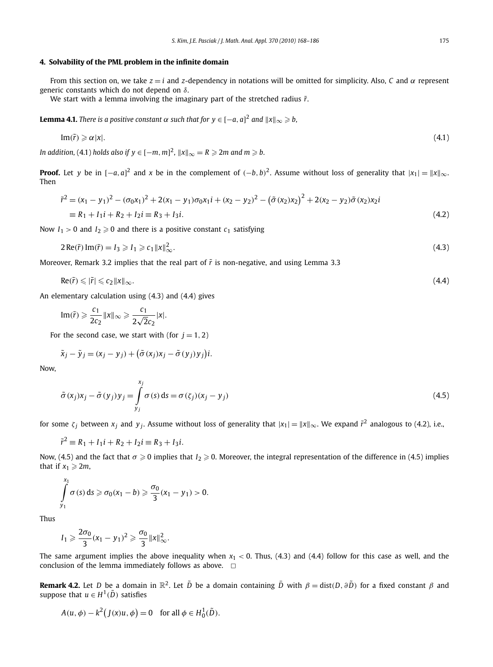#### **4. Solvability of the PML problem in the infinite domain**

From this section on, we take *z* = *i* and *z*-dependency in notations will be omitted for simplicity. Also, *C* and *α* represent generic constants which do not depend on *δ*.

We start with a lemma involving the imaginary part of the stretched radius  $\tilde{r}$ .

 $\bf{Lemma \ 4.1.}$  *There is a positive constant*  $\alpha$  *such that for*  $y \in [-a,a]^2$  *and*  $\|x\|_\infty \geqslant b,$ 

$$
\operatorname{Im}(\tilde{r}) \geqslant \alpha |x|.\tag{4.1}
$$

In addition, (4.1) holds also if  $y \in [-m, m]^2$ ,  $\|x\|_\infty = R \geqslant 2m$  and  $m \geqslant b$ .

**Proof.** Let *y* be in  $[-a, a]^2$  and *x* be in the complement of  $(-b, b)^2$ . Assume without loss of generality that  $|x_1| = ||x||_{\infty}$ . Then

$$
\tilde{r}^2 = (x_1 - y_1)^2 - (\sigma_0 x_1)^2 + 2(x_1 - y_1)\sigma_0 x_1 i + (x_2 - y_2)^2 - (\tilde{\sigma}(x_2)x_2)^2 + 2(x_2 - y_2)\tilde{\sigma}(x_2)x_2 i
$$
  
=  $R_1 + I_1 i + R_2 + I_2 i = R_3 + I_3 i.$  (4.2)

Now  $I_1 > 0$  and  $I_2 \ge 0$  and there is a positive constant  $c_1$  satisfying

$$
2\operatorname{Re}(\tilde{r})\operatorname{Im}(\tilde{r})=I_3\geqslant I_1\geqslant c_1\|x\|_{\infty}^2.
$$
\n
$$
(4.3)
$$

Moreover, Remark 3.2 implies that the real part of  $\tilde{r}$  is non-negative, and using Lemma 3.3

$$
\operatorname{Re}(\tilde{r}) \leqslant |\tilde{r}| \leqslant c_2 \|x\|_{\infty}.\tag{4.4}
$$

An elementary calculation using (4.3) and (4.4) gives

$$
\text{Im}(\tilde{r}) \geqslant \frac{c_1}{2c_2} \|x\|_{\infty} \geqslant \frac{c_1}{2\sqrt{2}c_2} |x|.
$$

For the second case, we start with (for  $j = 1, 2$ )

$$
\tilde{x}_j - \tilde{y}_j = (x_j - y_j) + (\tilde{\sigma}(x_j)x_j - \tilde{\sigma}(y_j)y_j)i.
$$

Now,

$$
\tilde{\sigma}(x_j)x_j - \tilde{\sigma}(y_j)y_j = \int_{y_j}^{x_j} \sigma(s) ds = \sigma(\zeta_j)(x_j - y_j)
$$
\n(4.5)

for some *ζ*<sub>*i*</sub> between *x*<sub>*i*</sub> and *y*<sub>*i*</sub>. Assume without loss of generality that  $|x_1| = ||x||_{\infty}$ . We expand  $\tilde{r}^2$  analogous to (4.2), i.e.,

$$
\tilde{r}^2 \equiv R_1 + I_1 i + R_2 + I_2 i \equiv R_3 + I_3 i.
$$

Now, (4.5) and the fact that  $\sigma \ge 0$  implies that  $I_2 \ge 0$ . Moreover, the integral representation of the difference in (4.5) implies that if  $x_1 \geq 2m$ ,

$$
\int_{y_1}^{x_1} \sigma(s) ds \geq \sigma_0(x_1 - b) \geq \frac{\sigma_0}{3}(x_1 - y_1) > 0.
$$

Thus

$$
I_1\geqslant \frac{2\sigma_0}{3}(x_1-y_1)^2\geqslant \frac{\sigma_0}{3}\|x\|_\infty^2.
$$

The same argument implies the above inequality when  $x_1 < 0$ . Thus,  $(4.3)$  and  $(4.4)$  follow for this case as well, and the conclusion of the lemma immediately follows as above.  $\Box$ 

**Remark 4.2.** Let *D* be a domain in  $\mathbb{R}^2$ . Let  $\tilde{D}$  be a domain containing  $\tilde{D}$  with  $\beta = \text{dist}(D, \partial \tilde{D})$  for a fixed constant  $\beta$  and suppose that  $u \in H^1(\tilde{D})$  satisfies

$$
A(u, \phi) - k^2 (J(x)u, \phi) = 0 \quad \text{for all } \phi \in H_0^1(\tilde{D}).
$$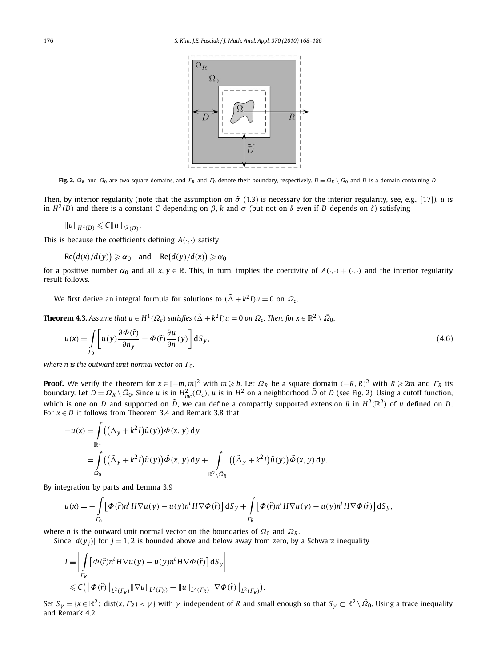

Fig. 2.  $\Omega_R$  and  $\Omega_0$  are two square domains, and  $\Gamma_R$  and  $\Gamma_0$  denote their boundary, respectively.  $D = \Omega_R \setminus \overline{\Omega}_0$  and  $\overline{D}$  is a domain containing  $\overline{D}$ .

Then, by interior regularity (note that the assumption on  $\tilde{\sigma}$  (1.3) is necessary for the interior regularity, see, e.g., [17]), *u* is in  $H^2(D)$  and there is a constant *C* depending on *β*, *k* and *σ* (but not on *δ* even if *D* depends on *δ*) satisfying

$$
||u||_{H^2(D)} \leq C ||u||_{L^2(\tilde{D})}.
$$

This is because the coefficients defining *A(*·*,*·*)* satisfy

 $Re(d(x)/d(y)) \geqslant \alpha_0$  and  $Re(d(y)/d(x)) \geqslant \alpha_0$ 

for a positive number  $\alpha_0$  and all  $x, y \in \mathbb{R}$ . This, in turn, implies the coercivity of  $A(\cdot, \cdot) + (\cdot, \cdot)$  and the interior regularity result follows.

We first derive an integral formula for solutions to  $(\tilde{\Delta} + k^2 I)u = 0$  on  $\Omega_c$ .

**Theorem 4.3.** Assume that  $u \in H^1(\Omega_c)$  satisfies  $(\tilde{\Delta} + k^2 I)u = 0$  on  $\Omega_c$ . Then, for  $x \in \mathbb{R}^2 \setminus \bar{\Omega}_0$ ,

$$
u(x) = \int\limits_{\Gamma_0} \left[ u(y) \frac{\partial \Phi(\tilde{r})}{\partial n_y} - \Phi(\tilde{r}) \frac{\partial u}{\partial n}(y) \right] dS_y, \tag{4.6}
$$

*where n is the outward unit normal vector on Γ*<sub>0</sub>*.* 

**Proof.** We verify the theorem for  $x \in [-m, m]^2$  with  $m \ge b$ . Let  $\Omega_R$  be a square domain  $(-R, R)^2$  with  $R \ge 2m$  and  $\Gamma_R$  its boundary. Let  $D=\Omega_R\setminus\bar{\Omega}_0$ . Since u is in  $H^2_{loc}(\Omega_c)$ , u is in  $H^2$  on a neighborhood  $\tilde{D}$  of D (see Fig. 2). Using a cutoff function, which is one on *D* and supported on  $\tilde{D}$ , we can define a compactly supported extension  $\tilde{u}$  in  $H^2(\mathbb{R}^2)$  of *u* defined on *D*. For  $x \in D$  it follows from Theorem 3.4 and Remark 3.8 that

$$
-u(x) = \int_{\mathbb{R}^2} ((\tilde{\Delta}_y + k^2 I)\tilde{u}(y)) \tilde{\Phi}(x, y) dy
$$
  
= 
$$
\int_{\Omega_0} ((\tilde{\Delta}_y + k^2 I)\tilde{u}(y)) \tilde{\Phi}(x, y) dy + \int_{\mathbb{R}^2 \setminus \tilde{\Omega}_R} ((\tilde{\Delta}_y + k^2 I)\tilde{u}(y)) \tilde{\Phi}(x, y) dy.
$$

By integration by parts and Lemma 3.9

$$
u(x) = -\int_{\Gamma_0} \left[ \Phi(\tilde{r}) n^t H \nabla u(y) - u(y) n^t H \nabla \Phi(\tilde{r}) \right] dS_y + \int_{\Gamma_R} \left[ \Phi(\tilde{r}) n^t H \nabla u(y) - u(y) n^t H \nabla \Phi(\tilde{r}) \right] dS_y,
$$

where *n* is the outward unit normal vector on the boundaries of *Ω*<sup>0</sup> and *Ω<sup>R</sup>* .

Since  $|d(y_i)|$  for  $j = 1, 2$  is bounded above and below away from zero, by a Schwarz inequality

$$
I = \left| \int\limits_{\Gamma_R} \left[ \Phi(\tilde{r}) n^t H \nabla u(y) - u(y) n^t H \nabla \Phi(\tilde{r}) \right] dS_y \right|
$$
  
\$\leqslant C \left( \left\| \Phi(\tilde{r}) \right\|\_{L^2(\Gamma\_R)} \| \nabla u \|\_{L^2(\Gamma\_R)} + \left\| u \right\|\_{L^2(\Gamma\_R)} \| \nabla \Phi(\tilde{r}) \right\|\_{L^2(\Gamma\_R)}\right).

Set  $S_\gamma = \{x \in \mathbb{R}^2$ : dist $(x, \Gamma_R) < \gamma\}$  with  $\gamma$  independent of *R* and small enough so that  $S_\gamma \subset \mathbb{R}^2 \setminus \overline{Q}_0$ . Using a trace inequality and Remark 4.2,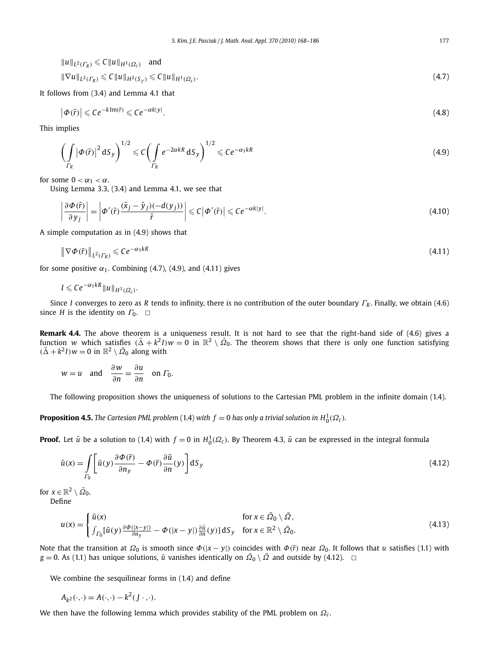$$
||u||_{L^{2}(T_{R})} \leq C||u||_{H^{1}(\Omega_{c})} \text{ and}
$$
  
\n
$$
||\nabla u||_{L^{2}(T_{R})} \leq C||u||_{H^{2}(S_{\gamma})} \leq C||u||_{H^{1}(\Omega_{c})}.
$$
\n(4.7)

It follows from (3.4) and Lemma 4.1 that

$$
\left|\Phi(\tilde{r})\right| \leqslant Ce^{-k\operatorname{Im}(\tilde{r})} \leqslant Ce^{-\alpha k|y|}.\tag{4.8}
$$

This implies

$$
\left(\int\limits_{\Gamma_R} |\varphi(\tilde{r})|^2 \, \mathrm{d}S_y\right)^{1/2} \leqslant C \left(\int\limits_{\Gamma_R} e^{-2\alpha kR} \, \mathrm{d}S_y\right)^{1/2} \leqslant C e^{-\alpha_1 kR} \tag{4.9}
$$

for some  $0 < \alpha_1 < \alpha$ .

Using Lemma 3.3, (3.4) and Lemma 4.1, we see that

$$
\left|\frac{\partial\Phi(\tilde{r})}{\partial y_j}\right| = \left|\Phi'(\tilde{r})\frac{(\tilde{x}_j - \tilde{y}_j)(-d(y_j))}{\tilde{r}}\right| \leqslant C\left|\Phi'(\tilde{r})\right| \leqslant Ce^{-\alpha k|y|}.\tag{4.10}
$$

A simple computation as in (4.9) shows that

$$
\left\|\nabla\Phi(\tilde{r})\right\|_{L^{2}(I_{R})} \leqslant Ce^{-\alpha_{1}kR} \tag{4.11}
$$

for some positive  $\alpha_1$ . Combining (4.7), (4.9), and (4.11) gives

$$
I\leqslant Ce^{-\alpha_1kR}\|u\|_{H^1(\Omega_c)}.
$$

Since *I* converges to zero as *R* tends to infinity, there is no contribution of the outer boundary *Γ<sup>R</sup>* . Finally, we obtain (4.6) since *H* is the identity on  $\Gamma_0$ .  $\Box$ 

**Remark 4.4.** The above theorem is a uniqueness result. It is not hard to see that the right-hand side of (4.6) gives a function *w* which satisfies  $(\tilde{\Delta}+k^2I)w=0$  in  $\mathbb{R}^2\setminus\bar{\Omega}_0$ . The theorem shows that there is only one function satisfying  $(\tilde{\Delta} + k^2 I)w = 0$  in  $\mathbb{R}^2 \setminus \overline{\Omega}_0$  along with

$$
w = u
$$
 and  $\frac{\partial w}{\partial n} = \frac{\partial u}{\partial n}$  on  $\Gamma_0$ .

The following proposition shows the uniqueness of solutions to the Cartesian PML problem in the infinite domain (1.4).

**Proposition 4.5.** The Cartesian PML problem (1.4) with  $f = 0$  has only a trivial solution in  $H_0^1(\Omega_c)$ .

**Proof.** Let  $\tilde{u}$  be a solution to (1.4) with  $f = 0$  in  $H_0^1(\Omega_c)$ . By Theorem 4.3,  $\tilde{u}$  can be expressed in the integral formula

$$
\tilde{u}(x) = \int_{\Gamma_0} \left[ \tilde{u}(y) \frac{\partial \Phi(\tilde{r})}{\partial n_y} - \Phi(\tilde{r}) \frac{\partial \tilde{u}}{\partial n}(y) \right] dS_y
$$
\n(4.12)

for  $x \in \mathbb{R}^2 \setminus \overline{\Omega}_0$ . Define

$$
u(x) = \begin{cases} \tilde{u}(x) & \text{for } x \in \bar{\Omega}_0 \setminus \bar{\Omega}, \\ \int_{\Gamma_0} [\tilde{u}(y) \frac{\partial \Phi(|x-y|)}{\partial n_y} - \Phi(|x-y|) \frac{\partial \tilde{u}}{\partial n}(y)] \, dS_y & \text{for } x \in \mathbb{R}^2 \setminus \bar{\Omega}_0. \end{cases}
$$
(4.13)

Note that the transition at  $Ω_0$  is smooth since  $Φ(|x - y|)$  coincides with  $Φ(ř)$  near  $Ω_0$ . It follows that *u* satisfies (1.1) with *g* = 0. As (1.1) has unique solutions,  $\tilde{u}$  vanishes identically on  $\bar{\Omega}_0 \setminus \bar{\Omega}$  and outside by (4.12).  $\Box$ 

We combine the sesquilinear forms in (1.4) and define

$$
A_{k^2}(\cdot,\cdot) = A(\cdot,\cdot) - k^2(J\cdot,\cdot).
$$

We then have the following lemma which provides stability of the PML problem on  $Ω<sub>c</sub>$ .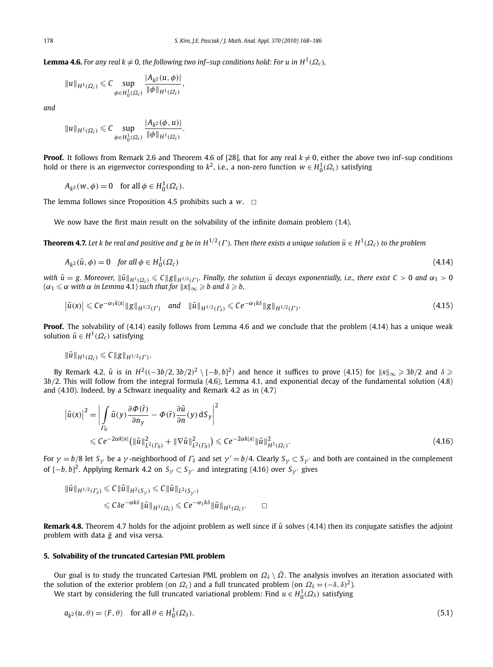**Lemma 4.6.** *For any real k*  $\neq$  0*, the following two inf–sup conditions hold: For u in H*<sup>1</sup>( $\Omega_c$ )*,* 

$$
||u||_{H^1(\Omega_c)} \leq C \sup_{\phi \in H_0^1(\Omega_c)} \frac{|A_{k^2}(u, \phi)|}{||\phi||_{H^1(\Omega_c)}},
$$

*and*

$$
||u||_{H^1(\Omega_c)} \leq C \sup_{\phi \in H_0^1(\Omega_c)} \frac{|A_{k^2}(\phi, u)|}{||\phi||_{H^1(\Omega_c)}}.
$$

**Proof.** It follows from Remark 2.6 and Theorem 4.6 of [28], that for any real  $k \neq 0$ , either the above two inf–sup conditions hold or there is an eigenvector corresponding to  $k^2$ , i.e., a non-zero function  $w \in H_0^1(\Omega_c)$  satisfying

 $A_{k^2}(w, \phi) = 0$  for all  $\phi \in H_0^1(\Omega_c)$ .

The lemma follows since Proposition 4.5 prohibits such a  $w$ .  $\Box$ 

We now have the first main result on the solvability of the infinite domain problem (1.4).

**Theorem 4.7.** Let k be real and positive and g be in  $H^{1/2}(\Gamma)$ . Then there exists a unique solution  $\tilde{u} \in H^1(\Omega_c)$  to the problem

$$
A_{k^2}(\tilde{u}, \phi) = 0 \quad \text{for all } \phi \in H_0^1(\Omega_c) \tag{4.14}
$$

with  $\tilde{u}=$  g. Moreover,  $\|\tilde{u}\|_{H^1(\Omega_c)}\leqslant C\|g\|_{H^{1/2}(\Gamma)}.$  Finally, the solution  $\tilde{u}$  decays exponentially, i.e., there exist C  $>$  0 and  $\alpha_1>0$  $(\alpha_1 \leqslant \alpha \text{ with } \alpha \text{ in Lemma 4.1})$  such that for  $\|x\|_{\infty} \geqslant b$  and  $\delta \geqslant b,$ 

$$
\left|\tilde{u}(x)\right| \leq Ce^{-\alpha_1 k|x|} \|g\|_{H^{1/2}(\Gamma)} \quad \text{and} \quad \|\tilde{u}\|_{H^{1/2}(\Gamma_\delta)} \leq Ce^{-\alpha_1 k\delta} \|g\|_{H^{1/2}(\Gamma)}.
$$
\n(4.15)

**Proof.** The solvability of (4.14) easily follows from Lemma 4.6 and we conclude that the problem (4.14) has a unique weak solution  $\tilde{u} \in H^1(\Omega_c)$  satisfying

$$
\|\tilde{u}\|_{H^1(\Omega_c)}\leqslant C\|g\|_{H^{1/2}(\Gamma)}.
$$

By Remark 4.2,  $\tilde{u}$  is in  $H^2((-3b/2,3b/2)^2 \setminus [-b,b]^2)$  and hence it suffices to prove (4.15) for  $\|x\|_\infty \geqslant 3b/2$  and  $\delta \geqslant$ 3*b/*2. This will follow from the integral formula (4.6), Lemma 4.1, and exponential decay of the fundamental solution (4.8) and (4.10). Indeed, by a Schwarz inequality and Remark 4.2 as in (4.7)

$$
\left|\tilde{u}(x)\right|^2 = \left|\int_{\Gamma_0} \tilde{u}(y) \frac{\partial \Phi(\tilde{r})}{\partial n_y} - \Phi(\tilde{r}) \frac{\partial \tilde{u}}{\partial n}(y) \, dS_y\right|^2
$$
\n
$$
\leq C e^{-2\alpha k|x|} \left(\|\tilde{u}\|_{L^2(\Gamma_0)}^2 + \|\nabla \tilde{u}\|_{L^2(\Gamma_0)}^2\right) \leq C e^{-2\alpha k|x|} \|\tilde{u}\|_{H^1(\Omega_c)}^2.
$$
\n(4.16)

*For*  $\gamma = b/8$  let  $S_\gamma$  be a  $\gamma$ -neighborhood of  $\Gamma_\delta$  and set  $\gamma' = b/4$ . Clearly  $S_\gamma \subset S_{\gamma'}$  and both are contained in the complement of [−*b, b*] 2. Applying Remark 4.2 on *S<sup>γ</sup>* ⊂ *S<sup>γ</sup>* and integrating (4.16) over *S<sup>γ</sup>* gives

$$
\|\tilde{u}\|_{H^{1/2}(\Gamma_\delta)} \leq C \|\tilde{u}\|_{H^2(S_{\gamma'})} \leq C \|\tilde{u}\|_{L^2(S_{\gamma'})}
$$
  

$$
\leq C \delta e^{-\alpha k \delta} \|\tilde{u}\|_{H^1(\Omega_c)} \leq Ce^{-\alpha_1 k \delta} \|\tilde{u}\|_{H^1(\Omega_c)}. \qquad \Box
$$

**Remark 4.8.** Theorem 4.7 holds for the adjoint problem as well since if  $\tilde{u}$  solves (4.14) then its conjugate satisfies the adjoint problem with data  $\bar{g}$  and visa versa.

#### **5. Solvability of the truncated Cartesian PML problem**

Our goal is to study the truncated Cartesian PML problem on  $\Omega_\delta \setminus \overline{\Omega}$ . The analysis involves an iteration associated with the solution of the exterior problem (on  $\Omega_c$ ) and a full truncated problem (on  $\Omega_\delta = (-\delta, \delta)^2$ ).

We start by considering the full truncated variational problem: Find  $u \in H_0^1(\Omega_\delta)$  satisfying

$$
a_{k^2}(u,\theta) = \langle F, \theta \rangle \quad \text{for all } \theta \in H_0^1(\Omega_\delta). \tag{5.1}
$$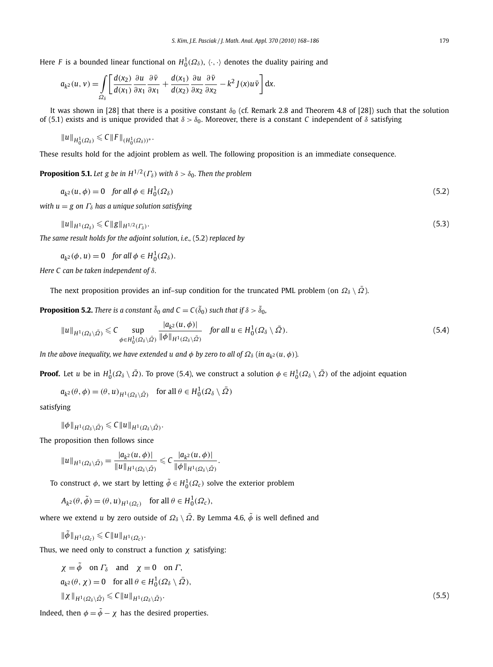Here *F* is a bounded linear functional on  $H_0^1(\Omega_\delta)$ ,  $\langle \cdot, \cdot \rangle$  denotes the duality pairing and

$$
a_{k^2}(u, v) = \int\limits_{\Omega_\delta} \left[ \frac{d(x_2)}{d(x_1)} \frac{\partial u}{\partial x_1} \frac{\partial \bar{v}}{\partial x_1} + \frac{d(x_1)}{d(x_2)} \frac{\partial u}{\partial x_2} \frac{\partial \bar{v}}{\partial x_2} - k^2 J(x) u \bar{v} \right] dx.
$$

It was shown in [28] that there is a positive constant  $\delta_0$  (cf. Remark 2.8 and Theorem 4.8 of [28]) such that the solution of (5.1) exists and is unique provided that *δ>δ*0. Moreover, there is a constant *C* independent of *δ* satisfying

$$
||u||_{H_0^1(\Omega_\delta)} \leq C||F||_{(H_0^1(\Omega_\delta))^*}.
$$

These results hold for the adjoint problem as well. The following proposition is an immediate consequence.

**Proposition 5.1.** *Let g be in*  $H^{1/2}(\Gamma_\delta)$  *with*  $\delta > \delta_0$ *. Then the problem* 

$$
a_{k^2}(u,\phi) = 0 \quad \text{for all } \phi \in H_0^1(\Omega_\delta) \tag{5.2}
$$

*with*  $u = g$  *on*  $\Gamma_{\delta}$  *has a unique solution satisfying* 

$$
||u||_{H^1(\Omega_\delta)} \leqslant C||g||_{H^{1/2}(\Gamma_\delta)}.
$$
\n
$$
(5.3)
$$

*The same result holds for the adjoint solution, i.e.,* (5.2) *replaced by*

$$
a_{k^2}(\phi, u) = 0 \quad \text{for all } \phi \in H_0^1(\Omega_\delta).
$$

*Here C can be taken independent of δ.*

The next proposition provides an inf–sup condition for the truncated PML problem (on  $\Omega_\delta \setminus \bar{\Omega}$ ).

**Proposition 5.2.** There is a constant  $\tilde{\delta}_0$  and  $C = C(\tilde{\delta}_0)$  such that if  $\delta > \tilde{\delta}_0$ ,

$$
||u||_{H^1(\Omega_\delta\setminus\bar{\Omega})} \leq C \sup_{\phi \in H_0^1(\Omega_\delta\setminus\bar{\Omega})} \frac{|a_{k^2}(u,\phi)|}{||\phi||_{H^1(\Omega_\delta\setminus\bar{\Omega})}} \quad \text{for all } u \in H_0^1(\Omega_\delta\setminus\bar{\Omega}).
$$
 (5.4)

*In the above inequality, we have extended u and*  $\phi$  *by zero to all of*  $\Omega_{\delta}$  (*in*  $a_{k^2}(u, \phi)$ )*.* 

**Proof.** Let *u* be in  $H_0^1(\Omega_\delta \setminus \bar{\Omega})$ . To prove (5.4), we construct a solution  $\phi \in H_0^1(\Omega_\delta \setminus \bar{\Omega})$  of the adjoint equation

$$
a_{k^2}(\theta,\phi)=(\theta,u)_{H^1(\Omega_\delta\setminus\bar{\varOmega})}\quad\text{for all }\theta\in H^1_0(\Omega_\delta\setminus\bar{\varOmega})
$$

satisfying

$$
\|\phi\|_{H^1(\Omega_\delta\setminus\bar{\Omega})}\leqslant C\|u\|_{H^1(\Omega_\delta\setminus\bar{\Omega})}.
$$

The proposition then follows since

$$
||u||_{H^1(\Omega_\delta\setminus\bar{\Omega})}=\frac{|a_{k^2}(u,\phi)|}{||u||_{H^1(\Omega_\delta\setminus\bar{\Omega})}}\leqslant C\frac{|a_{k^2}(u,\phi)|}{||\phi||_{H^1(\Omega_\delta\setminus\bar{\Omega})}}.
$$

To construct  $\phi$ , we start by letting  $\tilde{\phi} \in H^1_0(\varOmega_c)$  solve the exterior problem

 $A_{k^2}(\theta, \tilde{\phi}) = (\theta, u)_{H^1(\Omega_c)}$  for all  $\theta \in H_0^1(\Omega_c)$ ,

where we extend *u* by zero outside of  $\Omega_{\delta} \setminus \overline{\Omega}$ . By Lemma 4.6,  $\tilde{\phi}$  is well defined and

$$
\|\tilde{\phi}\|_{H^1(\Omega_c)} \leqslant C \|u\|_{H^1(\Omega_c)}.
$$

Thus, we need only to construct a function *χ* satisfying:

$$
\chi = \tilde{\phi} \quad \text{on } \Gamma_{\delta} \quad \text{and} \quad \chi = 0 \quad \text{on } \Gamma,
$$
\n
$$
a_{k^2}(\theta, \chi) = 0 \quad \text{for all } \theta \in H_0^1(\Omega_{\delta} \setminus \bar{\Omega}),
$$
\n
$$
\|\chi\|_{H^1(\Omega_{\delta} \setminus \bar{\Omega})} \leq C \|u\|_{H^1(\Omega_{\delta} \setminus \bar{\Omega})}.
$$
\n(5.5)

Indeed, then  $\phi = \tilde{\phi} - \chi$  has the desired properties.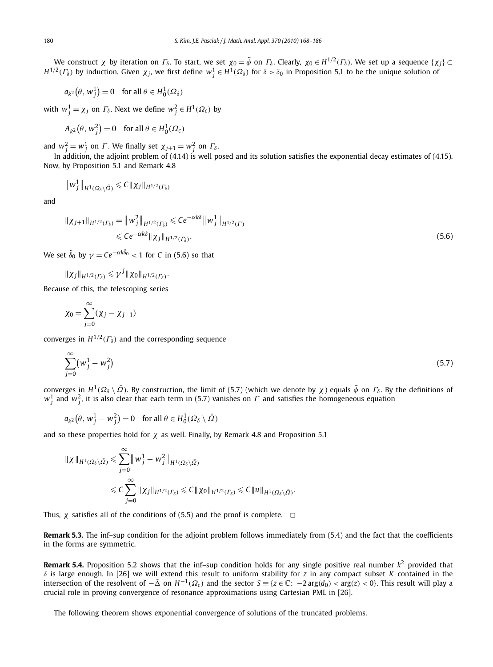We construct *χ* by iteration on  $\Gamma_{\delta}$ . To start, we set  $\chi_0 = \tilde{\phi}$  on  $\Gamma_{\delta}$ . Clearly,  $\chi_0 \in H^{1/2}(\Gamma_{\delta})$ . We set up a sequence  $\{\chi_j\} \subset$ *H*<sup>1/2</sup>(Γ<sub>δ</sub>) by induction. Given  $\chi_j$ , we first define  $w_j^1 ∈ H^1(Ω_δ)$  for  $δ > δ_0$  in Proposition 5.1 to be the unique solution of

$$
a_{k^2}(\theta, w_j^1) = 0 \quad \text{for all } \theta \in H_0^1(\Omega_\delta)
$$

 $w_j^1 = \chi_j$  on  $\Gamma_\delta$ . Next we define  $w_j^2 \in H^1(\Omega_c)$  by

$$
A_{k^2}(\theta, w_j^2) = 0 \quad \text{for all } \theta \in H_0^1(\Omega_c)
$$

and  $w_j^2 = w_j^1$  on *Γ*. We finally set  $\chi_{j+1} = w_j^2$  on  $\Gamma_{\delta}$ .

In addition, the adjoint problem of (4.14) is well posed and its solution satisfies the exponential decay estimates of (4.15). Now, by Proposition 5.1 and Remark 4.8

$$
\|w_j^1\|_{H^1(\Omega_\delta\setminus\bar{\Omega})}\leqslant C\|\chi_j\|_{H^{1/2}(\Gamma_\delta)}
$$

and

$$
\|\chi_{j+1}\|_{H^{1/2}(\Gamma_{\delta})} = \|w_j^2\|_{H^{1/2}(\Gamma_{\delta})} \leq C e^{-\alpha k \delta} \|w_j^1\|_{H^{1/2}(\Gamma)}
$$
  
\$\leq C e^{-\alpha k \delta} \|\chi\_j\|\_{H^{1/2}(\Gamma\_{\delta})}\$. (5.6)

We set  $\tilde{\delta}_0$  by  $\gamma = C e^{-\alpha k \tilde{\delta}_0} < 1$  for  $C$  in (5.6) so that

$$
\|\chi_j\|_{H^{1/2}(\Gamma_\delta)}\leqslant \gamma^j\|\chi_0\|_{H^{1/2}(\Gamma_\delta)}.
$$

Because of this, the telescoping series

$$
\chi_0 = \sum_{j=0}^{\infty} (\chi_j - \chi_{j+1})
$$

converges in  $H^{1/2}(\Gamma_\delta)$  and the corresponding sequence

$$
\sum_{j=0}^{\infty} (w_j^1 - w_j^2) \tag{5.7}
$$

converges in  $H^1(\Omega_\delta \setminus \overline{\Omega})$ . By construction, the limit of (5.7) (which we denote by *χ*) equals  $\tilde{\phi}$  on  $\Gamma_\delta$ . By the definitions of  $w_j^1$  and  $w_j^2$ , it is also clear that each term in (5.7) vanishes on  $\varGamma$  and satisfies the homogeneous equation

$$
a_{k^2}(\theta, w_j^1 - w_j^2) = 0 \quad \text{for all } \theta \in H_0^1(\Omega_\delta \setminus \bar{\Omega})
$$

and so these properties hold for  $\chi$  as well. Finally, by Remark 4.8 and Proposition 5.1

$$
\|\chi\|_{H^1(\Omega_\delta\setminus\bar{\Omega})}\leqslant \sum_{j=0}^\infty \|w_j^1-w_j^2\|_{H^1(\Omega_\delta\setminus\bar{\Omega})}
$$
  

$$
\leqslant C\sum_{j=0}^\infty \|\chi_j\|_{H^{1/2}(\Gamma_\delta)}\leqslant C\|\chi_0\|_{H^{1/2}(\Gamma_\delta)}\leqslant C\|u\|_{H^1(\Omega_\delta\setminus\bar{\Omega})}.
$$

Thus,  $\chi$  satisfies all of the conditions of (5.5) and the proof is complete.  $\Box$ 

**Remark 5.3.** The inf–sup condition for the adjoint problem follows immediately from (5.4) and the fact that the coefficients in the forms are symmetric.

**Remark 5.4.** Proposition 5.2 shows that the inf–sup condition holds for any single positive real number *k*<sup>2</sup> provided that *δ* is large enough. In [26] we will extend this result to uniform stability for *z* in any compact subset *K* contained in the intersection of the resolvent of  $-\tilde{\Delta}$  on  $H^{-1}(\Omega_c)$  and the sector  $S \equiv \{z \in \mathbb{C} : -2 \arg(d_0) < \arg(z) < 0\}$ . This result will play a crucial role in proving convergence of resonance approximations using Cartesian PML in [26].

The following theorem shows exponential convergence of solutions of the truncated problems.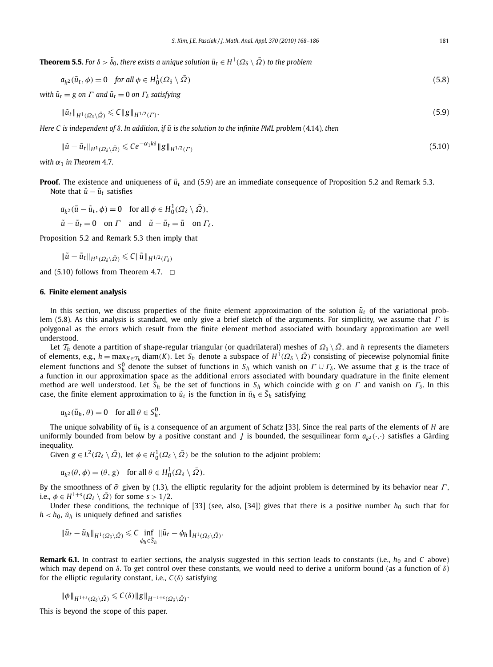${\bf Theorem 5.5.}$  *For*  $\delta > \tilde \delta_0$ *, there exists a unique solution*  $\tilde u_t\in H^1(\varOmega_\delta\setminus\bar{\varOmega})$  *to the problem* 

$$
a_{k^2}(\tilde{u}_t, \phi) = 0 \quad \text{for all } \phi \in H_0^1(\Omega_\delta \setminus \bar{\Omega})
$$
\n
$$
(5.8)
$$

*with*  $\tilde{u}_t = g$  *on*  $\Gamma$  *and*  $\tilde{u}_t = 0$  *on*  $\Gamma_s$  *satisfying* 

$$
\|\tilde{u}_t\|_{H^1(\Omega_\delta\setminus\bar{\Omega})} \leq C \|g\|_{H^{1/2}(\Gamma)}.
$$
\n
$$
(5.9)
$$

*Here C is independent of δ. In addition, if*  $\tilde{u}$  *is the solution to the infinite PML problem* (4.14)*, then* 

$$
\|\tilde{u} - \tilde{u}_t\|_{H^1(\Omega_\delta \setminus \bar{\Omega})} \leqslant C e^{-\alpha_1 k \delta} \|g\|_{H^{1/2}(\Gamma)} \tag{5.10}
$$

*with*  $\alpha_1$  *in Theorem* 4.7.

**Proof.** The existence and uniqueness of  $\tilde{u}_t$  and (5.9) are an immediate consequence of Proposition 5.2 and Remark 5.3. Note that  $\tilde{u} - \tilde{u}_t$  satisfies

$$
a_{k^2}(\tilde{u} - \tilde{u}_t, \phi) = 0 \quad \text{for all } \phi \in H_0^1(\Omega_\delta \setminus \overline{\Omega}),
$$
  

$$
\tilde{u} - \tilde{u}_t = 0 \quad \text{on } \Gamma \quad \text{and} \quad \tilde{u} - \tilde{u}_t = \tilde{u} \quad \text{on } \Gamma_\delta.
$$

Proposition 5.2 and Remark 5.3 then imply that

$$
\|\tilde{u}-\tilde{u}_t\|_{H^1(\Omega_\delta\backslash\bar{\varOmega})}\leq C\|\tilde{u}\|_{H^{1/2}(\varGamma_\delta)}
$$

and (5.10) follows from Theorem 4.7.  $\Box$ 

#### **6. Finite element analysis**

In this section, we discuss properties of the finite element approximation of the solution  $\tilde{u}_t$  of the variational problem (5.8). As this analysis is standard, we only give a brief sketch of the arguments. For simplicity, we assume that *Γ* is polygonal as the errors which result from the finite element method associated with boundary approximation are well understood.

Let  $\mathcal{T}_h$  denote a partition of shape-regular triangular (or quadrilateral) meshes of  $\mathcal{Q}_\delta \setminus \overline{\Omega}$ , and *h* represents the diameters of elements, e.g.,  $h = \max_{K \in \mathcal{T}_h} \text{diam}(K)$ . Let  $S_h$  denote a subspace of  $H^1(\Omega_\delta \setminus \overline{\Omega})$  consisting of piecewise polynomial finite element functions and  $S_h^0$  denote the subset of functions in  $S_h$  which vanish on  $\Gamma\cup\Gamma_\delta$ . We assume that *g* is the trace of a function in our approximation space as the additional errors associated with boundary quadrature in the finite element method are well understood. Let  $\tilde{S}_h$  be the set of functions in  $S_h$  which coincide with *g* on *Γ* and vanish on  $\Gamma_\delta$ . In this case, the finite element approximation to  $\tilde{u}_t$  is the function in  $\tilde{u}_h \in \tilde{S}_h$  satisfying

$$
a_{k^2}(\tilde{u}_h, \theta) = 0 \quad \text{for all } \theta \in S_h^0.
$$

The unique solvability of  $\tilde{u}_h$  is a consequence of an argument of Schatz [33]. Since the real parts of the elements of *H* are uniformly bounded from below by a positive constant and *J* is bounded, the sesquilinear form  $a_{k^2}(\cdot, \cdot)$  satisfies a Gärding inequality.

Given  $g \in L^2(\Omega_\delta \setminus \bar{\Omega})$ , let  $\phi \in H_0^1(\Omega_\delta \setminus \bar{\Omega})$  be the solution to the adjoint problem:

$$
a_{k^2}(\theta, \phi) = (\theta, g)
$$
 for all  $\theta \in H_0^1(\Omega_\delta \setminus \overline{\Omega})$ .

By the smoothness of *σ*˜ given by (1.3), the elliptic regularity for the adjoint problem is determined by its behavior near *Γ* , i.e.,  $\phi \in H^{1+s}(\Omega_\delta \setminus \overline{\Omega})$  for some  $s > 1/2$ .

Under these conditions, the technique of [33] (see, also, [34]) gives that there is a positive number  $h_0$  such that for  $h < h_0$ ,  $\tilde{u}_h$  is uniquely defined and satisfies

$$
\|\tilde{u}_t-\tilde{u}_h\|_{H^1(\Omega_\delta\setminus\bar{\Omega})}\leqslant C\inf_{\phi_h\in\tilde{S}_h}\|\tilde{u}_t-\phi_h\|_{H^1(\Omega_\delta\setminus\bar{\Omega})}.
$$

**Remark 6.1.** In contrast to earlier sections, the analysis suggested in this section leads to constants (i.e.,  $h_0$  and C above) which may depend on *δ*. To get control over these constants, we would need to derive a uniform bound (as a function of *δ*) for the elliptic regularity constant, i.e., *C(δ)* satisfying

$$
\|\phi\|_{H^{1+s}(\Omega_\delta\setminus\bar{\Omega})}\leqslant C(\delta)\|g\|_{H^{-1+s}(\Omega_\delta\setminus\bar{\Omega})}.
$$

This is beyond the scope of this paper.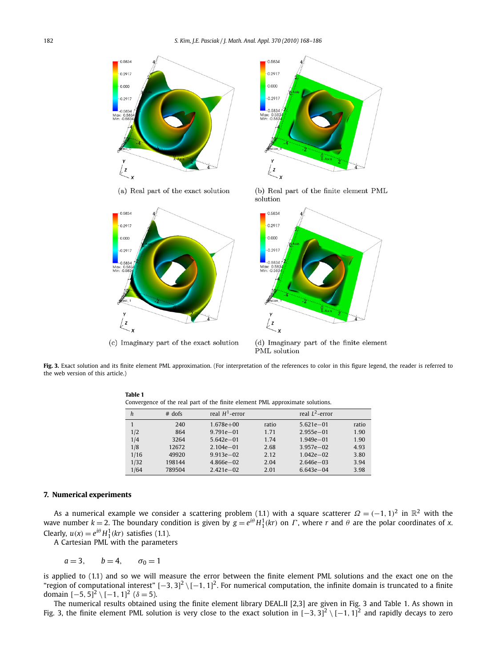



(c) Imaginary part of the exact solution

**Table 1**



(d) Imaginary part of the finite element PML solution

**Fig. 3.** Exact solution and its finite element PML approximation. (For interpretation of the references to color in this figure legend, the reader is referred to the web version of this article.)

| h    | $#$ dofs | real $H^1$ -error |       | real $L^2$ -error |       |
|------|----------|-------------------|-------|-------------------|-------|
|      | 240      | $1.678e + 00$     | ratio | $5.621e - 01$     | ratio |
| 1/2  | 864      | $9.791e - 01$     | 1.71  | $2.955e - 01$     | 1.90  |
| 1/4  | 3264     | $5.642e - 01$     | 1.74  | $1.949e - 01$     | 1.90  |
| 1/8  | 12672    | $2.104e - 01$     | 2.68  | $3.957e - 02$     | 4.93  |
| 1/16 | 49920    | $9.913e - 02$     | 2.12  | $1.042e - 02$     | 3.80  |
| 1/32 | 198144   | $4.866e - 02$     | 2.04  | $2.646e - 03$     | 3.94  |
| 1/64 | 789504   | $2.421e - 02$     | 2.01  | $6.643e - 04$     | 3.98  |
|      |          |                   |       |                   |       |

Convergence of the real part of the finite element PML approximate solutions.

## **7. Numerical experiments**

As a numerical example we consider a scattering problem (1.1) with a square scatterer  $\Omega = (-1, 1)^2$  in  $\mathbb{R}^2$  with the wave number  $k = 2$ . The boundary condition is given by  $g = e^{i\theta} H_1^1(kr)$  on  $\Gamma$ , where  $r$  and  $\theta$  are the polar coordinates of  $x$ . Clearly,  $u(x) = e^{i\theta} H_1^1(kr)$  satisfies (1.1).

A Cartesian PML with the parameters

$$
a=3, \qquad b=4, \qquad \sigma_0=1
$$

is applied to (1.1) and so we will measure the error between the finite element PML solutions and the exact one on the "region of computational interest" [−3, 3]<sup>2</sup> \[−1, 1]<sup>2</sup>. For numerical computation, the infinite domain is truncated to a finite domain  $[-5, 5]^2 \setminus [-1, 1]^2$  ( $\delta = 5$ ).

The numerical results obtained using the finite element library DEAL.II [2,3] are given in Fig. 3 and Table 1. As shown in Fig. 3, the finite element PML solution is very close to the exact solution in [−3*,* 3] <sup>2</sup> \ [−1*,* 1] <sup>2</sup> and rapidly decays to zero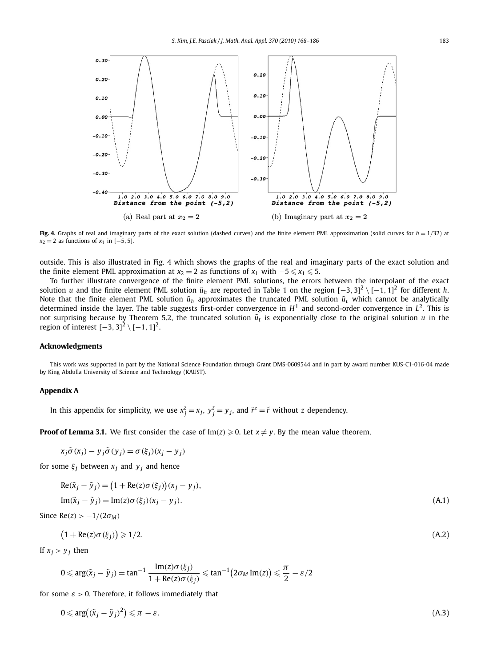

**Fig. 4.** Graphs of real and imaginary parts of the exact solution (dashed curves) and the finite element PML approximation (solid curves for  $h = 1/32$ ) at *x*<sub>2</sub> = 2 as functions of *x*<sub>1</sub> in [−5, 5].

outside. This is also illustrated in Fig. 4 which shows the graphs of the real and imaginary parts of the exact solution and the finite element PML approximation at  $x_2 = 2$  as functions of  $x_1$  with  $-5 \le x_1 \le 5$ .

To further illustrate convergence of the finite element PML solutions, the errors between the interpolant of the exact solution *u* and the finite element PML solution  $\tilde{u}_h$  are reported in Table 1 on the region [−3, 3]<sup>2</sup> \[−1, 1]<sup>2</sup> for different *h.* Note that the finite element PML solution  $\tilde{u}_h$  approximates the truncated PML solution  $\tilde{u}_t$  which cannot be analytically determined inside the layer. The table suggests first-order convergence in  $H<sup>1</sup>$  and second-order convergence in  $L<sup>2</sup>$ . This is not surprising because by Theorem 5.2, the truncated solution  $\tilde{u}_t$  is exponentially close to the original solution  $u$  in the region of interest  $[-3, 3]^2 \setminus [-1, 1]^2$ .

#### **Acknowledgments**

This work was supported in part by the National Science Foundation through Grant DMS-0609544 and in part by award number KUS-C1-016-04 made by King Abdulla University of Science and Technology (KAUST).

#### **Appendix A**

In this appendix for simplicity, we use  $x_j^z = x_j$ ,  $y_j^z = y_j$ , and  $\tilde{r}^z = \tilde{r}$  without *z* dependency.

**Proof of Lemma 3.1.** We first consider the case of  $Im(z) \ge 0$ . Let  $x \ne \gamma$ . By the mean value theorem,

$$
x_j \tilde{\sigma}(x_j) - y_j \tilde{\sigma}(y_j) = \sigma(\xi_j)(x_j - y_j)
$$

for some  $\xi_j$  between  $x_j$  and  $y_j$  and hence

$$
Re(\tilde{x}_j - \tilde{y}_j) = (1 + Re(z)\sigma(\xi_j))(x_j - y_j),
$$
  
\n
$$
Im(\tilde{x}_j - \tilde{y}_j) = Im(z)\sigma(\xi_j)(x_j - y_j).
$$
\n(A.1)

Since  $Re(z) > -1/(2\sigma_M)$ 

$$
(1 + \text{Re}(z)\sigma(\xi_j)) \geq 1/2. \tag{A.2}
$$

If  $x_j > y_j$  then

$$
0 \leqslant \arg(\tilde{x}_j - \tilde{y}_j) = \tan^{-1} \frac{\text{Im}(z)\sigma(\xi_j)}{1 + \text{Re}(z)\sigma(\xi_j)} \leqslant \tan^{-1} \big(2\sigma_M \text{Im}(z)\big) \leqslant \frac{\pi}{2} - \varepsilon/2
$$

for some  $\varepsilon > 0$ . Therefore, it follows immediately that

$$
0 \leqslant \arg\left((\tilde{x}_j - \tilde{y}_j)^2\right) \leqslant \pi - \varepsilon. \tag{A.3}
$$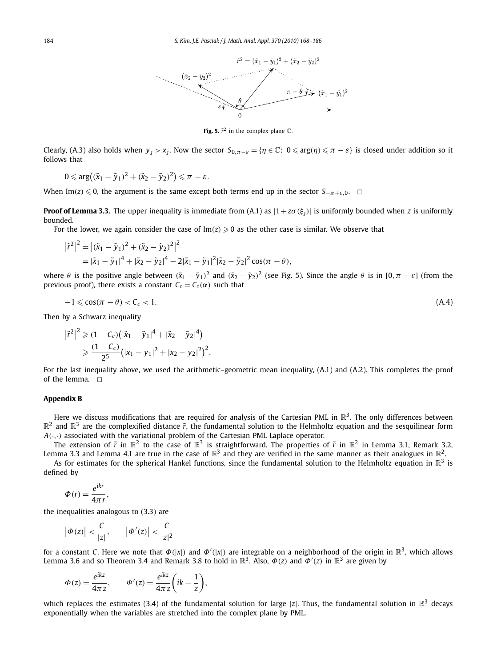

**Fig. 5.**  $\tilde{r}^2$  in the complex plane  $\mathbb{C}$ .

Clearly, (A.3) also holds when  $y_j > x_j$ . Now the sector  $S_{0,\pi-\varepsilon} = \{\eta \in \mathbb{C} : 0 \leq \arg(\eta) \leq \pi - \varepsilon\}$  is closed under addition so it follows that

$$
0 \leqslant \arg((\tilde{x}_1 - \tilde{y}_1)^2 + (\tilde{x}_2 - \tilde{y}_2)^2) \leqslant \pi - \varepsilon.
$$

When Im(*z*)  $\leq$  0, the argument is the same except both terms end up in the sector  $S_{-\pi+\varepsilon,0}$ .  $\Box$ 

**Proof of Lemma 3.3.** The upper inequality is immediate from (A.1) as  $|1 + z\sigma(\xi_i)|$  is uniformly bounded when *z* is uniformly bounded.

For the lower, we again consider the case of  $Im(z) \ge 0$  as the other case is similar. We observe that

$$
\left|\tilde{r}^{2}\right|^{2} = \left|(\tilde{x}_{1} - \tilde{y}_{1})^{2} + (\tilde{x}_{2} - \tilde{y}_{2})^{2}\right|^{2}
$$
  
=  $|\tilde{x}_{1} - \tilde{y}_{1}|^{4} + |\tilde{x}_{2} - \tilde{y}_{2}|^{4} - 2|\tilde{x}_{1} - \tilde{y}_{1}|^{2}|\tilde{x}_{2} - \tilde{y}_{2}|^{2} \cos(\pi - \theta),$ 

where  $\theta$  is the positive angle between  $(\tilde{x}_1 - \tilde{y}_1)^2$  and  $(\tilde{x}_2 - \tilde{y}_2)^2$  (see Fig. 5). Since the angle  $\theta$  is in  $[0, \pi - \varepsilon]$  (from the previous proof), there exists a constant  $C_c = C_c(\alpha)$  such that

$$
-1 \leqslant \cos(\pi - \theta) < C_c < 1. \tag{A.4}
$$

Then by a Schwarz inequality

$$
\left|\tilde{r}^{2}\right|^{2} \geqslant (1 - C_{c})(\left|\tilde{x}_{1} - \tilde{y}_{1}\right|^{4} + \left|\tilde{x}_{2} - \tilde{y}_{2}\right|^{4})
$$

$$
\geqslant \frac{(1 - C_{c})}{2^{5}}\left(\left|x_{1} - y_{1}\right|^{2} + \left|x_{2} - y_{2}\right|^{2}\right)^{2}.
$$

For the last inequality above, we used the arithmetic–geometric mean inequality, (A.1) and (A.2). This completes the proof of the lemma.  $\Box$ 

#### **Appendix B**

Here we discuss modifications that are required for analysis of the Cartesian PML in  $\mathbb{R}^3$ . The only differences between  $\mathbb{R}^2$  and  $\mathbb{R}^3$  are the complexified distance  $\tilde{r}$ , the fundamental solution to the Helmholtz equation and the sesquilinear form  $A(\cdot, \cdot)$  associated with the variational problem of the Cartesian PML Laplace operator.

The extension of  $\tilde{r}$  in  $\mathbb{R}^2$  to the case of  $\mathbb{R}^3$  is straightforward. The properties of  $\tilde{r}$  in  $\mathbb{R}^2$  in Lemma 3.1, Remark 3.2, Lemma 3.3 and Lemma 4.1 are true in the case of  $\mathbb{R}^3$  and they are verified in the same manner as their analogues in  $\mathbb{R}^2$ .

As for estimates for the spherical Hankel functions, since the fundamental solution to the Helmholtz equation in  $\mathbb{R}^3$  is defined by

$$
\Phi(r) = \frac{e^{ikr}}{4\pi r},
$$

the inequalities analogous to (3.3) are

$$
\left|\Phi(z)\right|<\frac{C}{|z|},\qquad \left|\Phi'(z)\right|<\frac{C}{|z|^2}
$$

for a constant *C*. Here we note that *Φ(*|*x*|*)* and *Φ (*|*x*|*)* are integrable on a neighborhood of the origin in R3, which allows Lemma 3.6 and so Theorem 3.4 and Remark 3.8 to hold in  $\mathbb{R}^3$ . Also,  $\Phi(z)$  and  $\Phi'(z)$  in  $\mathbb{R}^3$  are given by

$$
\Phi(z) = \frac{e^{ikz}}{4\pi z}, \qquad \Phi'(z) = \frac{e^{ikz}}{4\pi z} \left( ik - \frac{1}{z} \right),
$$

which replaces the estimates (3.4) of the fundamental solution for large |z|. Thus, the fundamental solution in  $\mathbb{R}^3$  decays exponentially when the variables are stretched into the complex plane by PML.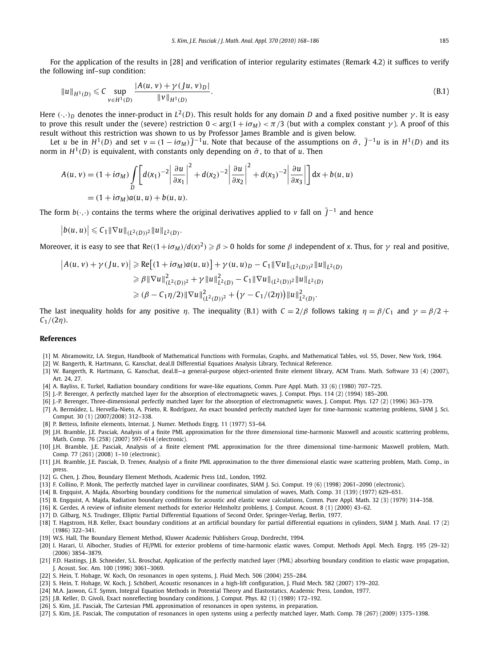For the application of the results in [28] and verification of interior regularity estimates (Remark 4.2) it suffices to verify the following inf–sup condition:

$$
||u||_{H^{1}(D)} \leq C \sup_{v \in H^{1}(D)} \frac{|A(u,v) + \gamma(Ju,v)_{D}|}{||v||_{H^{1}(D)}}.
$$
\n(B.1)

Here  $(\cdot, \cdot)_D$  denotes the inner-product in  $L^2(D)$ . This result holds for any domain *D* and a fixed positive number  $\gamma$ . It is easy to prove this result under the (severe) restriction  $0 < arg(1 + iσ<sub>M</sub>) < π/3$  (but with a complex constant *γ*). A proof of this result without this restriction was shown to us by Professor James Bramble and is given below.

Let u be in  $H^1(D)$  and set  $v = (1 - i\sigma_M)\overline{J}^{-1}u$ . Note that because of the assumptions on  $\tilde{\sigma}$ ,  $\overline{J}^{-1}u$  is in  $H^1(D)$  and its norm in  $H^1(D)$  is equivalent, with constants only depending on  $\tilde{\sigma}$ , to that of *u*. Then

$$
A(u, v) = (1 + i\sigma_M) \int_D \left[ d(x_1)^{-2} \left| \frac{\partial u}{\partial x_1} \right|^2 + d(x_2)^{-2} \left| \frac{\partial u}{\partial x_2} \right|^2 + d(x_3)^{-2} \left| \frac{\partial u}{\partial x_3} \right| \right] dx + b(u, u)
$$
  
=  $(1 + i\sigma_M) a(u, u) + b(u, u).$ 

The form  $b(\cdot, \cdot)$  contains the terms where the original derivatives applied to *v* fall on  $\bar{J}^{-1}$  and hence

 $|b(u, u)| \leq C_1 ||\nabla u||_{(L^2(D))^2} ||u||_{L^2(D)}$ .

Moreover, it is easy to see that Re $((1+i\sigma_M)/d(x)^2) \ge \beta > 0$  holds for some *β* independent of *x*. Thus, for *γ* real and positive,

$$
|A(u, v) + \gamma(Ju, v)| \ge Re[(1 + i\sigma_M)a(u, u)] + \gamma(u, u)_D - C_1 \|\nabla u\|_{(L^2(D))^2} \|u\|_{L^2(D)}
$$
  
\n
$$
\ge \beta \|\nabla u\|_{(L^2(D))^2}^2 + \gamma \|u\|_{L^2(D)}^2 - C_1 \|\nabla u\|_{(L^2(D))^2} \|u\|_{L^2(D)}
$$
  
\n
$$
\ge (\beta - C_1 \eta/2) \|\nabla u\|_{(L^2(D))^2}^2 + (\gamma - C_1/(2\eta)) \|u\|_{L^2(D)}^2.
$$

The last inequality holds for any positive *η*. The inequality (B.1) with  $C = 2/\beta$  follows taking  $\eta = \beta/C_1$  and  $\gamma = \beta/2$  + *C*1*/(*2*η)*.

#### **References**

- [1] M. Abramowitz, I.A. Stegun, Handbook of Mathematical Functions with Formulas, Graphs, and Mathematical Tables, vol. 55, Dover, New York, 1964.
- [2] W. Bangerth, R. Hartmann, G. Kanschat, deal.II Differential Equations Analysis Library, Technical Reference.
- [3] W. Bangerth, R. Hartmann, G. Kanschat, deal.II—a general-purpose object-oriented finite element library, ACM Trans. Math. Software 33 (4) (2007), Art. 24, 27.
- [4] A. Bayliss, E. Turkel, Radiation boundary conditions for wave-like equations, Comm. Pure Appl. Math. 33 (6) (1980) 707–725.
- [5] J.-P. Berenger, A perfectly matched layer for the absorption of electromagnetic waves, J. Comput. Phys. 114 (2) (1994) 185–200.
- [6] J.-P. Berenger, Three-dimensional perfectly matched layer for the absorption of electromagnetic waves, J. Comput. Phys. 127 (2) (1996) 363–379.
- [7] A. Bermúdez, L. Hervella-Nieto, A. Prieto, R. Rodríguez, An exact bounded perfectly matched layer for time-harmonic scattering problems, SIAM J. Sci. Comput. 30 (1) (2007/2008) 312–338.
- [8] P. Bettess, Infinite elements, Internat. J. Numer. Methods Engrg. 11 (1977) 53–64.
- [9] J.H. Bramble, J.E. Pasciak, Analysis of a finite PML approximation for the three dimensional time-harmonic Maxwell and acoustic scattering problems, Math. Comp. 76 (258) (2007) 597–614 (electronic).
- [10] J.H. Bramble, J.E. Pasciak, Analysis of a finite element PML approximation for the three dimensional time-harmonic Maxwell problem, Math. Comp. 77 (261) (2008) 1–10 (electronic).
- [11] J.H. Bramble, J.E. Pasciak, D. Trenev, Analysis of a finite PML approximation to the three dimensional elastic wave scattering problem, Math. Comp., in press.
- [12] G. Chen, J. Zhou, Boundary Element Methods, Academic Press Ltd., London, 1992.
- [13] F. Collino, P. Monk, The perfectly matched layer in curvilinear coordinates, SIAM J. Sci. Comput. 19 (6) (1998) 2061–2090 (electronic).
- [14] B. Engquist, A. Majda, Absorbing boundary conditions for the numerical simulation of waves, Math. Comp. 31 (139) (1977) 629–651.
- [15] B. Engquist, A. Majda, Radiation boundary conditions for acoustic and elastic wave calculations, Comm. Pure Appl. Math. 32 (3) (1979) 314–358.
- [16] K. Gerdes, A review of infinite element methods for exterior Helmholtz problems, J. Comput. Acoust. 8 (1) (2000) 43–62.
- [17] D. Gilbarg, N.S. Trudinger, Elliptic Partial Differential Equations of Second Order, Springer-Verlag, Berlin, 1977.
- [18] T. Hagstrom, H.B. Keller, Exact boundary conditions at an artificial boundary for partial differential equations in cylinders, SIAM J. Math. Anal. 17 (2) (1986) 322–341.
- [19] W.S. Hall, The Boundary Element Method, Kluwer Academic Publishers Group, Dordrecht, 1994.
- [20] I. Harari, U. Albocher, Studies of FE/PML for exterior problems of time-harmonic elastic waves, Comput. Methods Appl. Mech. Engrg. 195 (29–32) (2006) 3854–3879.
- [21] F.D. Hastings, J.B. Schneider, S.L. Broschat, Application of the perfectly matched layer (PML) absorbing boundary condition to elastic wave propagation, J. Acoust. Soc. Am. 100 (1996) 3061–3069.
- [22] S. Hein, T. Hohage, W. Koch, On resonances in open systems, J. Fluid Mech. 506 (2004) 255–284.
- [23] S. Hein, T. Hohage, W. Koch, J. Schöberl, Acoustic resonances in a high-lift configuration, J. Fluid Mech. 582 (2007) 179–202.
- [24] M.A. Jaswon, G.T. Symm, Integral Equation Methods in Potential Theory and Elastostatics, Academic Press, London, 1977.
- [25] J.B. Keller, D. Givoli, Exact nonreflecting boundary conditions, J. Comput. Phys. 82 (1) (1989) 172–192.
- [26] S. Kim, J.E. Pasciak, The Cartesian PML approximation of resonances in open systems, in preparation.
- [27] S. Kim, J.E. Pasciak, The computation of resonances in open systems using a perfectly matched layer, Math. Comp. 78 (267) (2009) 1375–1398.